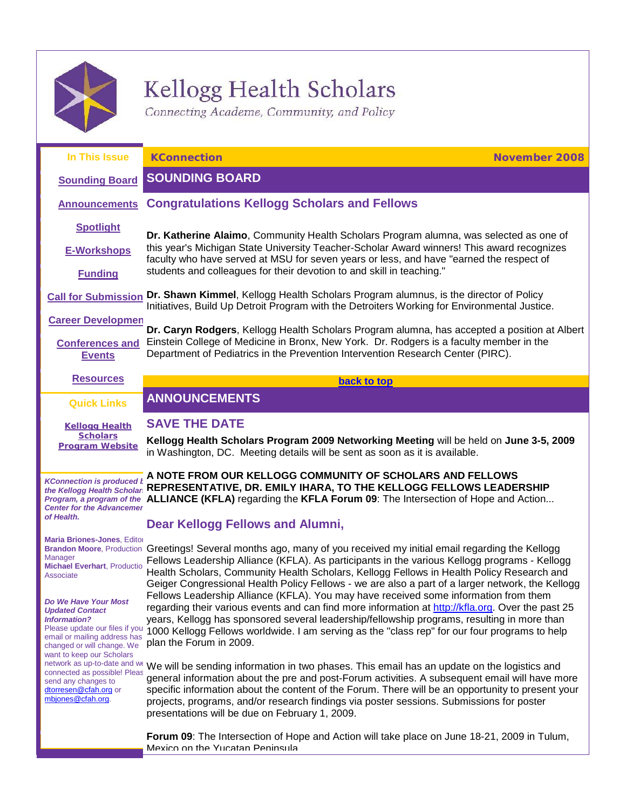

send any changes to [dtorresen@cfah.org](mailto:dtorresen@cfah.org) or [mbjones@cfah.org.](mailto:mbjones@cfah.org) 

# Kellogg Health Scholars

<span id="page-0-2"></span><span id="page-0-0"></span>Connecting Academe, Community, and Policy

<span id="page-0-1"></span>

| In This Issue                                                                                                                                                                                      | <b>KConnection</b><br><b>November 2008</b>                                                                                                                                                                                                                                                                                                                                                                             |
|----------------------------------------------------------------------------------------------------------------------------------------------------------------------------------------------------|------------------------------------------------------------------------------------------------------------------------------------------------------------------------------------------------------------------------------------------------------------------------------------------------------------------------------------------------------------------------------------------------------------------------|
| <b>Sounding Board</b>                                                                                                                                                                              | <b>SOUNDING BOARD</b>                                                                                                                                                                                                                                                                                                                                                                                                  |
| <b>Announcements</b>                                                                                                                                                                               | <b>Congratulations Kellogg Scholars and Fellows</b>                                                                                                                                                                                                                                                                                                                                                                    |
| <b>Spotlight</b><br><b>E-Workshops</b>                                                                                                                                                             | Dr. Katherine Alaimo, Community Health Scholars Program alumna, was selected as one of<br>this year's Michigan State University Teacher-Scholar Award winners! This award recognizes<br>faculty who have served at MSU for seven years or less, and have "earned the respect of                                                                                                                                        |
| <b>Funding</b>                                                                                                                                                                                     | students and colleagues for their devotion to and skill in teaching."<br>Call for Submission Dr. Shawn Kimmel, Kellogg Health Scholars Program alumnus, is the director of Policy                                                                                                                                                                                                                                      |
| <b>Career Developmen</b>                                                                                                                                                                           | Initiatives, Build Up Detroit Program with the Detroiters Working for Environmental Justice.                                                                                                                                                                                                                                                                                                                           |
| <b>Conferences and</b><br><b>Events</b>                                                                                                                                                            | Dr. Caryn Rodgers, Kellogg Health Scholars Program alumna, has accepted a position at Albert<br>Einstein College of Medicine in Bronx, New York. Dr. Rodgers is a faculty member in the<br>Department of Pediatrics in the Prevention Intervention Research Center (PIRC).                                                                                                                                             |
| <b>Resources</b>                                                                                                                                                                                   | back to top                                                                                                                                                                                                                                                                                                                                                                                                            |
| <b>Quick Links</b>                                                                                                                                                                                 | <b>ANNOUNCEMENTS</b>                                                                                                                                                                                                                                                                                                                                                                                                   |
| <b>Kellogg Health</b><br><b>Scholars</b><br><b>Program Website</b>                                                                                                                                 | <b>SAVE THE DATE</b><br>Kellogg Health Scholars Program 2009 Networking Meeting will be held on June 3-5, 2009<br>in Washington, DC. Meeting details will be sent as soon as it is available.                                                                                                                                                                                                                          |
| <b>KConnection is produced</b><br>the Kellogg Health Scholar<br><b>Center for the Advancemer</b><br>of Health.                                                                                     | A NOTE FROM OUR KELLOGG COMMUNITY OF SCHOLARS AND FELLOWS<br>REPRESENTATIVE, DR. EMILY IHARA, TO THE KELLOGG FELLOWS LEADERSHIP<br>Program, a program of the ALLIANCE (KFLA) regarding the KFLA Forum 09: The Intersection of Hope and Action<br><b>Dear Kellogg Fellows and Alumni,</b>                                                                                                                               |
| Maria Briones-Jones, Editor<br>Manager<br><b>Michael Everhart, Productio</b><br>Associate                                                                                                          | Brandon Moore, Production Greetings! Several months ago, many of you received my initial email regarding the Kellogg<br>Fellows Leadership Alliance (KFLA). As participants in the various Kellogg programs - Kellogg<br>Health Scholars, Community Health Scholars, Kellogg Fellows in Health Policy Research and<br>Geiger Congressional Health Policy Fellows - we are also a part of a larger network, the Kellogg |
| Do We Have Your Most<br><b>Updated Contact</b><br><b>Information?</b><br>Please update our files if you<br>email or mailing address has<br>changed or will change. We<br>want to keep our Scholars | Fellows Leadership Alliance (KFLA). You may have received some information from them<br>regarding their various events and can find more information at http://kfla.org. Over the past 25<br>years, Kellogg has sponsored several leadership/fellowship programs, resulting in more than<br>1000 Kellogg Fellows worldwide. I am serving as the "class rep" for our four programs to help<br>plan the Forum in 2009.   |
|                                                                                                                                                                                                    | network as up-to-date and Wi Mo will be conding information in two phoens. This email has an undate an the legistics and                                                                                                                                                                                                                                                                                               |

connected as possible! Please and we We will be sending information in two phases. This email has an update on the logistics and general information about the pre and post-Forum activities. A subsequent email will have more specific information about the content of the Forum. There will be an opportunity to present your projects, programs, and/or research findings via poster sessions. Submissions for poster presentations will be due on February 1, 2009.

> **Forum 09**: The Intersection of Hope and Action will take place on June 18-21, 2009 in Tulum, Mexico on the Yucatan Peninsula.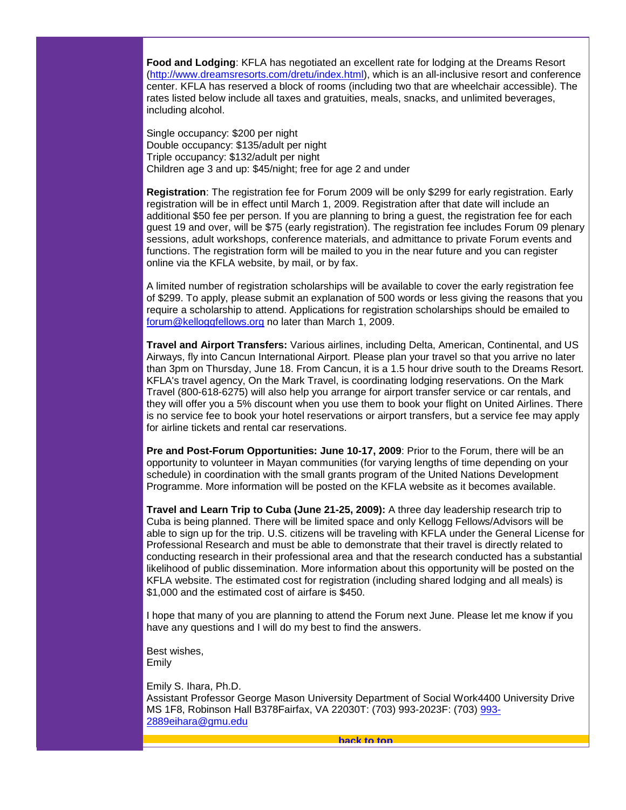**Food and Lodging**: KFLA has negotiated an excellent rate for lodging at the Dreams Resort [\(http://www.dreamsresorts.com/dretu/index.html\)](http://www.dreamsresorts.com/dretu/index.html), which is an all-inclusive resort and conference center. KFLA has reserved a block of rooms (including two that are wheelchair accessible). The rates listed below include all taxes and gratuities, meals, snacks, and unlimited beverages, including alcohol.

Single occupancy: \$200 per night Double occupancy: \$135/adult per night Triple occupancy: \$132/adult per night Children age 3 and up: \$45/night; free for age 2 and under

**Registration**: The registration fee for Forum 2009 will be only \$299 for early registration. Early registration will be in effect until March 1, 2009. Registration after that date will include an additional \$50 fee per person. If you are planning to bring a guest, the registration fee for each guest 19 and over, will be \$75 (early registration). The registration fee includes Forum 09 plenary sessions, adult workshops, conference materials, and admittance to private Forum events and functions. The registration form will be mailed to you in the near future and you can register online via the KFLA website, by mail, or by fax.

A limited number of registration scholarships will be available to cover the early registration fee of \$299. To apply, please submit an explanation of 500 words or less giving the reasons that you require a scholarship to attend. Applications for registration scholarships should be emailed to [forum@kelloggfellows.org](mailto:forum@kelloggfellows.org) no later than March 1, 2009.

**Travel and Airport Transfers:** Various airlines, including Delta, American, Continental, and US Airways, fly into Cancun International Airport. Please plan your travel so that you arrive no later than 3pm on Thursday, June 18. From Cancun, it is a 1.5 hour drive south to the Dreams Resort. KFLA's travel agency, On the Mark Travel, is coordinating lodging reservations. On the Mark Travel (800-618-6275) will also help you arrange for airport transfer service or car rentals, and they will offer you a 5% discount when you use them to book your flight on United Airlines. There is no service fee to book your hotel reservations or airport transfers, but a service fee may apply for airline tickets and rental car reservations.

**Pre and Post-Forum Opportunities: June 10-17, 2009**: Prior to the Forum, there will be an opportunity to volunteer in Mayan communities (for varying lengths of time depending on your schedule) in coordination with the small grants program of the United Nations Development Programme. More information will be posted on the KFLA website as it becomes available.

**Travel and Learn Trip to Cuba (June 21-25, 2009):** A three day leadership research trip to Cuba is being planned. There will be limited space and only Kellogg Fellows/Advisors will be able to sign up for the trip. U.S. citizens will be traveling with KFLA under the General License for Professional Research and must be able to demonstrate that their travel is directly related to conducting research in their professional area and that the research conducted has a substantial likelihood of public dissemination. More information about this opportunity will be posted on the KFLA website. The estimated cost for registration (including shared lodging and all meals) is \$1,000 and the estimated cost of airfare is \$450.

I hope that many of you are planning to attend the Forum next June. Please let me know if you have any questions and I will do my best to find the answers.

Best wishes, Emily

<span id="page-1-0"></span>Emily S. Ihara, Ph.D. Assistant Professor George Mason University Department of Social Work4400 University Drive MS 1F8, Robinson Hall B378Fairfax, VA 22030T: (703) 993-2023F: (703) [993-](mailto:993-2889eihara@gmu.edu) [2889eihara@gmu.edu](mailto:993-2889eihara@gmu.edu)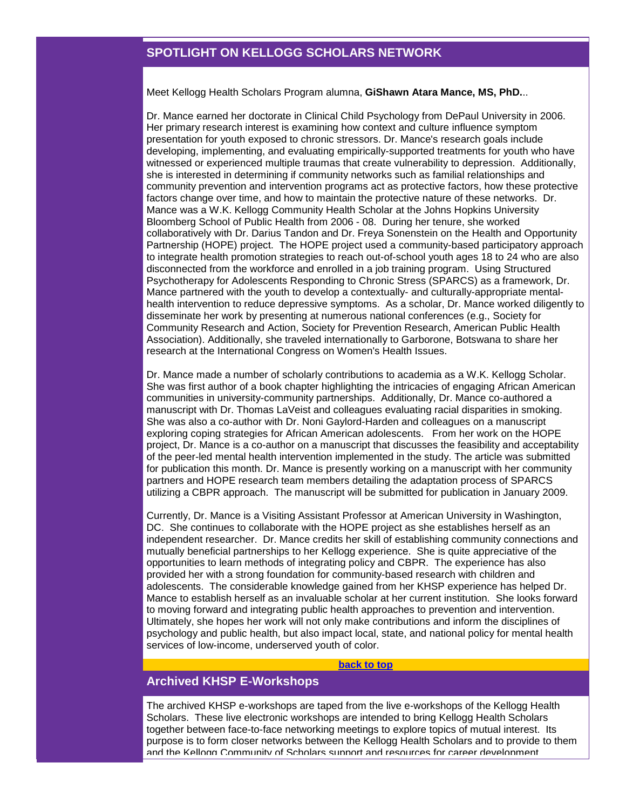# **SPOTLIGHT ON KELLOGG SCHOLARS NETWORK**

Meet Kellogg Health Scholars Program alumna, **GiShawn Atara Mance, MS, PhD.**..

Dr. Mance earned her doctorate in Clinical Child Psychology from DePaul University in 2006. Her primary research interest is examining how context and culture influence symptom presentation for youth exposed to chronic stressors. Dr. Mance's research goals include developing, implementing, and evaluating empirically-supported treatments for youth who have witnessed or experienced multiple traumas that create vulnerability to depression. Additionally, she is interested in determining if community networks such as familial relationships and community prevention and intervention programs act as protective factors, how these protective factors change over time, and how to maintain the protective nature of these networks. Dr. Mance was a W.K. Kellogg Community Health Scholar at the Johns Hopkins University Bloomberg School of Public Health from 2006 - 08. During her tenure, she worked collaboratively with Dr. Darius Tandon and Dr. Freya Sonenstein on the Health and Opportunity Partnership (HOPE) project. The HOPE project used a community-based participatory approach to integrate health promotion strategies to reach out-of-school youth ages 18 to 24 who are also disconnected from the workforce and enrolled in a job training program. Using Structured Psychotherapy for Adolescents Responding to Chronic Stress (SPARCS) as a framework, Dr. Mance partnered with the youth to develop a contextually- and culturally-appropriate mentalhealth intervention to reduce depressive symptoms. As a scholar, Dr. Mance worked diligently to disseminate her work by presenting at numerous national conferences (e.g., Society for Community Research and Action, Society for Prevention Research, American Public Health Association). Additionally, she traveled internationally to Garborone, Botswana to share her research at the International Congress on Women's Health Issues.

Dr. Mance made a number of scholarly contributions to academia as a W.K. Kellogg Scholar. She was first author of a book chapter highlighting the intricacies of engaging African American communities in university-community partnerships. Additionally, Dr. Mance co-authored a manuscript with Dr. Thomas LaVeist and colleagues evaluating racial disparities in smoking. She was also a co-author with Dr. Noni Gaylord-Harden and colleagues on a manuscript exploring coping strategies for African American adolescents. From her work on the HOPE project, Dr. Mance is a co-author on a manuscript that discusses the feasibility and acceptability of the peer-led mental health intervention implemented in the study. The article was submitted for publication this month. Dr. Mance is presently working on a manuscript with her community partners and HOPE research team members detailing the adaptation process of SPARCS utilizing a CBPR approach. The manuscript will be submitted for publication in January 2009.

Currently, Dr. Mance is a Visiting Assistant Professor at American University in Washington, DC. She continues to collaborate with the HOPE project as she establishes herself as an independent researcher. Dr. Mance credits her skill of establishing community connections and mutually beneficial partnerships to her Kellogg experience. She is quite appreciative of the opportunities to learn methods of integrating policy and CBPR. The experience has also provided her with a strong foundation for community-based research with children and adolescents. The considerable knowledge gained from her KHSP experience has helped Dr. Mance to establish herself as an invaluable scholar at her current institution. She looks forward to moving forward and integrating public health approaches to prevention and intervention. Ultimately, she hopes her work will not only make contributions and inform the disciplines of psychology and public health, but also impact local, state, and national policy for mental health services of low-income, underserved youth of color.

#### **[back to top](#page-0-2)**

# <span id="page-2-0"></span>**Archived KHSP E-Workshops**

The archived KHSP e-workshops are taped from the live e-workshops of the Kellogg Health Scholars. These live electronic workshops are intended to bring Kellogg Health Scholars together between face-to-face networking meetings to explore topics of mutual interest. Its purpose is to form closer networks between the Kellogg Health Scholars and to provide to them and the Kellogg Community of Scholars support and resources for career development.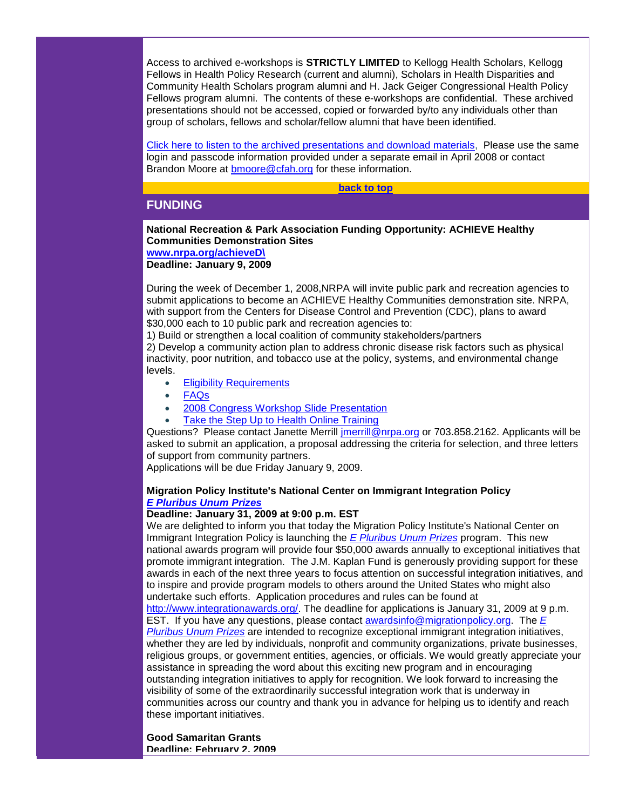Access to archived e-workshops is **STRICTLY LIMITED** to Kellogg Health Scholars, Kellogg Fellows in Health Policy Research (current and alumni), Scholars in Health Disparities and Community Health Scholars program alumni and H. Jack Geiger Congressional Health Policy Fellows program alumni. The contents of these e-workshops are confidential. These archived presentations should not be accessed, copied or forwarded by/to any individuals other than group of scholars, fellows and scholar/fellow alumni that have been identified.

[Click here to listen to the archived presentations and download materials,](http://rs6.net/tn.jsp?e=001AW0XOZKN2UxG7XZ2Q93-QKPjUoEyl_G4VocWCkdpq9aS9auOYA2jS3M7qtdpgxLOpIbudP-iaH8FUhHGC76KAzsYcJRGm0kaHc0jxjISwkKJnbVCcv99C7EY0_HU_xL2irXxhnFLaWE=) Please use the same login and passcode information provided under a separate email in April 2008 or contact Brandon Moore at [bmoore@cfah.org](mailto:bmoore@cfah.org) for these information.

#### **[back to top](#page-0-2)**

# <span id="page-3-0"></span>**FUNDING**

#### **National Recreation & Park Association Funding Opportunity: ACHIEVE Healthy Communities Demonstration Sites [www.nrpa.org/achieveD\](http://rs6.net/tn.jsp?e=001AW0XOZKN2UwK-v9SDl1pQq5l924fQbrXWxbeg3CyaOoC5TscaAdJhVbBkwzfk7F2wbCFwiZtaxTewLbKyhaArfsp3ly9_5VlaF2TTQLEtqlgAStX1NIA0w==)**

**Deadline: January 9, 2009** 

During the week of December 1, 2008,NRPA will invite public park and recreation agencies to submit applications to become an ACHIEVE Healthy Communities demonstration site. NRPA, with support from the Centers for Disease Control and Prevention (CDC), plans to award \$30,000 each to 10 public park and recreation agencies to:

1) Build or strengthen a local coalition of community stakeholders/partners

2) Develop a community action plan to address chronic disease risk factors such as physical inactivity, poor nutrition, and tobacco use at the policy, systems, and environmental change levels.

- **[Eligibility Requirements](http://rs6.net/tn.jsp?e=001AW0XOZKN2Ux1pQNk5dV7HVh6D-7hmafKr_cEbDwCiBFkK_MuvSBesDmHMt8gd2b1preDpDF36n62_m_xZQJuoSq0oU500SOWXubVRsKEzk1RcgEBd_XUUX99Z6BRk2IBSrg053-ondRSpDCbE6s5zHaS0L_FIDTcx8ShdV5fZlwOMbWJkj-WdQswYUFHxucSLjaqYNavLzI=)**
- [FAQs](http://rs6.net/tn.jsp?e=001AW0XOZKN2UwcuVarSCP_WSkj5z9BftN3nDoFIJjHk-HuzfbaKRStKaYIQ-k3e-eCFPkLfNO228wLdI5R94ZPWD7lJsEOlY6rrCn6vlnR35BDUNHEXYNolNSOMRlCgrUx4M3Fdv5e4NTfEZ1yyrAJQK8uiJoiMvOIroKsr9IffR4_Igu6dflJ1X5CpJUpxlZHUq4smYFrIQw=)
- [2008 Congress Workshop Slide Presentation](http://rs6.net/tn.jsp?e=001AW0XOZKN2UyqA1HF9m8rApIrdEyk6Hl-gQ21lzV68Tfv1K-vpnX6O7uCrfMX6JPs_e3ytmPqobMqsEzmn4hlFoAMZYFIl3rzLOSkxXzUKe3EHxCJsix_Lq9Uv61dEvuhRA_baEr-Wdcwgqc4JIx4tlr0jhylURLYJoCf5nK5dLtwOAxFT8aPpP7tcZZZ7mJ4NBaPNkbFLuE=)
- [Take the Step Up to Health Online Training](http://rs6.net/tn.jsp?e=001AW0XOZKN2UxZeZxmki-Plie02TKPHpHBAaa1TnK2lV70R62RNZaxe4aKge71i6brzCA6a7PhqTITsOmzgM_jAkpTLsNGQCieUBiOmqmM85QHAVD33nQ-x4x_Ny26o8JbOv56FJP7sns1nunKs-R8qoBdxYkIzQH5sTqBsHf6qDqLmnbInowRFlZlPKbuo4luqGM0lNw0J90=)

Questions? Please contact Janette Merrill *jmerrill@nrpa.org* or 703.858.2162. Applicants will be asked to submit an application, a proposal addressing the criteria for selection, and three letters of support from community partners.

Applications will be due Friday January 9, 2009.

# **Migration Policy Institute's National Center on Immigrant Integration Policy** *[E Pluribus Unum Prizes](http://rs6.net/tn.jsp?e=001AW0XOZKN2UwvXLtrHV6hyizDkwAs0sipbkQAaeg06_z0IZYkzEme-4kJtnc2Vbwd9tq9JcrbggQppl3n6920RA3XC2Nvd39i5wZjAlSjZFweJzyra-C0WNtUooP_ZAKcF7jaujgMAJykvsHk6UG9OK6KWVNb8HrC_qPaA0Ehz4sMPC3gAbR8QQ==)*

# **Deadline: January 31, 2009 at 9:00 p.m. EST**

We are delighted to inform you that today the Migration Policy Institute's National Center on Immigrant Integration Policy is launching the *[E Pluribus Unum Prizes](http://rs6.net/tn.jsp?e=001AW0XOZKN2UwvXLtrHV6hyizDkwAs0sipbkQAaeg06_z0IZYkzEme-4kJtnc2Vbwd9tq9JcrbggQppl3n6920RA3XC2Nvd39i5wZjAlSjZFweJzyra-C0WNtUooP_ZAKcF7jaujgMAJykvsHk6UG9OK6KWVNb8HrC_qPaA0Ehz4sMPC3gAbR8QQ==)* program. This new national awards program will provide four \$50,000 awards annually to exceptional initiatives that promote immigrant integration. The J.M. Kaplan Fund is generously providing support for these awards in each of the next three years to focus attention on successful integration initiatives, and to inspire and provide program models to others around the United States who might also undertake such efforts. Application procedures and rules can be found at [http://www.integrationawards.org/.](http://rs6.net/tn.jsp?e=001AW0XOZKN2UykAJQ9qMbyqf5GqhfI8o-PGhs5yKaI2GqAb5QUQ7i3Xh0ZhXP_YoFJzo6YGInH6KVMb580gJU1hVyc1TXkVvEyqwvAHBZiQieMmcssKwu31w3x6Alb3yyfPL1kyYpKv2TM43kxygZgWOLqKZieKCl4CpYXH4lcVFrT_HOwjp7iDA==) The deadline for applications is January 31, 2009 at 9 p.m. EST. If you have any questions, please contact [awardsinfo@migrationpolicy.org.](mailto:awardsinfo@migrationpolicy.org) The *[E](http://rs6.net/tn.jsp?e=001AW0XOZKN2UzFETiUZflWS8e6TbxLpxRKkbWLdKT583qU5AECU7Jlxky5DCL4jZTsQ7lgJodTOqpMJ-7G2CN_fk4iJLBJ1IPAnc6exMbP2zjl3jWjbGWSJfPQNLV3z1qhZ-gqvD2pQriIhEH9vgmyUjpP9AR4_j414CNWMLq_ExrZA5eGwL6h5A==)  [Pluribus Unum Prizes](http://rs6.net/tn.jsp?e=001AW0XOZKN2UzFETiUZflWS8e6TbxLpxRKkbWLdKT583qU5AECU7Jlxky5DCL4jZTsQ7lgJodTOqpMJ-7G2CN_fk4iJLBJ1IPAnc6exMbP2zjl3jWjbGWSJfPQNLV3z1qhZ-gqvD2pQriIhEH9vgmyUjpP9AR4_j414CNWMLq_ExrZA5eGwL6h5A==)* are intended to recognize exceptional immigrant integration initiatives, whether they are led by individuals, nonprofit and community organizations, private businesses, religious groups, or government entities, agencies, or officials. We would greatly appreciate your assistance in spreading the word about this exciting new program and in encouraging outstanding integration initiatives to apply for recognition. We look forward to increasing the visibility of some of the extraordinarily successful integration work that is underway in communities across our country and thank you in advance for helping us to identify and reach these important initiatives.

**Good Samaritan Grants Deadline: February 2, 2009**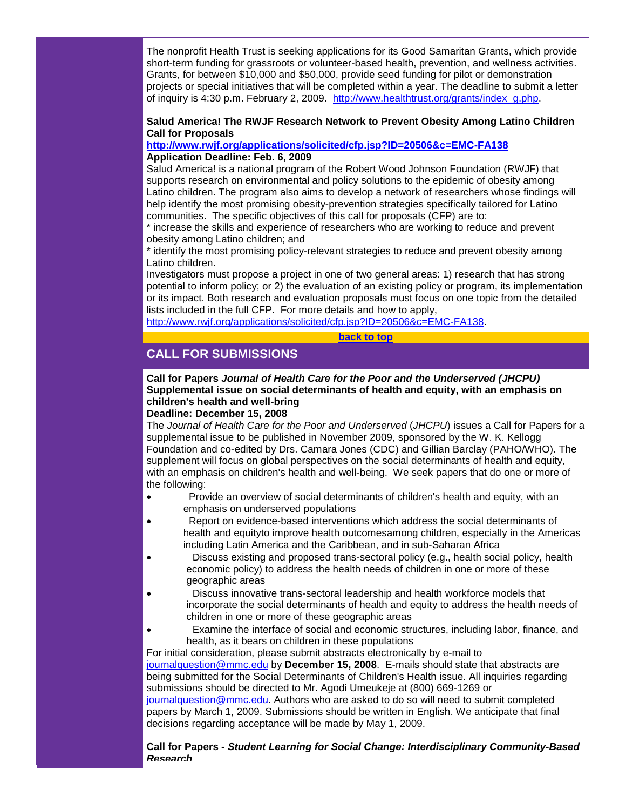The nonprofit Health Trust is seeking applications for its Good Samaritan Grants, which provide short-term funding for grassroots or volunteer-based health, prevention, and wellness activities. Grants, for between \$10,000 and \$50,000, provide seed funding for pilot or demonstration projects or special initiatives that will be completed within a year. The deadline to submit a letter of inquiry is 4:30 p.m. February 2, 2009. [http://www.healthtrust.org/grants/index\\_g.php.](http://rs6.net/tn.jsp?e=001AW0XOZKN2Ux0qL2BeHubLdvUG9hzY4FMLCPdl2lPvo3vPC1V5EbTUIpJtHme_FqLWUg3MPYJ3UtFj1Ag5QyifISYB2gsRd8cTooEZi-EwZcUf_50K0GtYkZcv-pzyuXTo9B20i3EU3M=)

# **Salud America! The RWJF Research Network to Prevent Obesity Among Latino Children Call for Proposals**

# **[http://www.rwjf.org/applications/solicited/cfp.jsp?ID=20506&c=EMC-FA138](http://rs6.net/tn.jsp?e=001AW0XOZKN2UyPOTTTHHpX_pc6VM7MWukGG56BrwWYJoV6_m46AK3DwyEW77eSU5sl0SrnI9yvgZsguHmMvSixHoB-Y1bwm4Qx5c156EtjjuLqqgSSTi1OjTLY0CdvnSwujWeF1jOFZ_4Pj-dEfgIhzF_5oHuWsShDXbCHtojv_TwBUDXtA-wD6fI9rf4RrWVa) Application Deadline: Feb. 6, 2009**

Salud America! is a national program of the Robert Wood Johnson Foundation (RWJF) that supports research on environmental and policy solutions to the epidemic of obesity among Latino children. The program also aims to develop a network of researchers whose findings will help identify the most promising obesity-prevention strategies specifically tailored for Latino communities. The specific objectives of this call for proposals (CFP) are to:

\* increase the skills and experience of researchers who are working to reduce and prevent obesity among Latino children; and

\* identify the most promising policy-relevant strategies to reduce and prevent obesity among Latino children.

Investigators must propose a project in one of two general areas: 1) research that has strong potential to inform policy; or 2) the evaluation of an existing policy or program, its implementation or its impact. Both research and evaluation proposals must focus on one topic from the detailed lists included in the full CFP. For more details and how to apply,

[http://www.rwjf.org/applications/solicited/cfp.jsp?ID=20506&c=EMC-FA138.](http://rs6.net/tn.jsp?e=001AW0XOZKN2UyPOTTTHHpX_pc6VM7MWukGG56BrwWYJoV6_m46AK3DwyEW77eSU5sl0SrnI9yvgZsguHmMvSixHoB-Y1bwm4Qx5c156EtjjuLqqgSSTi1OjTLY0CdvnSwujWeF1jOFZ_4Pj-dEfgIhzF_5oHuWsShDXbCHtojv_TwBUDXtA-wD6fI9rf4RrWVa)

#### **[back to top](#page-0-2)**

# <span id="page-4-0"></span>**CALL FOR SUBMISSIONS**

# **Call for Papers** *Journal of Health Care for the Poor and the Underserved (JHCPU)* **Supplemental issue on social determinants of health and equity, with an emphasis on children's health and well-bring**

# **Deadline: December 15, 2008**

The *Journal of Health Care for the Poor and Underserved* (*JHCPU*) issues a Call for Papers for a supplemental issue to be published in November 2009, sponsored by the W. K. Kellogg Foundation and co-edited by Drs. Camara Jones (CDC) and Gillian Barclay (PAHO/WHO). The supplement will focus on global perspectives on the social determinants of health and equity, with an emphasis on children's health and well-being. We seek papers that do one or more of the following:

- Provide an overview of social determinants of children's health and equity, with an emphasis on underserved populations
- Report on evidence-based interventions which address the social determinants of health and equityto improve health outcomesamong children, especially in the Americas including Latin America and the Caribbean, and in sub-Saharan Africa
- Discuss existing and proposed trans-sectoral policy (e.g., health social policy, health economic policy) to address the health needs of children in one or more of these geographic areas
- Discuss innovative trans-sectoral leadership and health workforce models that incorporate the social determinants of health and equity to address the health needs of children in one or more of these geographic areas
- Examine the interface of social and economic structures, including labor, finance, and health, as it bears on children in these populations

For initial consideration, please submit abstracts electronically by e-mail to [journalquestion@mmc.edu](mailto:journalquestion@mmc.edu) by **December 15, 2008**. E-mails should state that abstracts are being submitted for the Social Determinants of Children's Health issue. All inquiries regarding submissions should be directed to Mr. Agodi Umeukeje at (800) 669-1269 or [journalquestion@mmc.edu.](mailto:journalquestion@mmc.edu) Authors who are asked to do so will need to submit completed papers by March 1, 2009. Submissions should be written in English. We anticipate that final decisions regarding acceptance will be made by May 1, 2009.

**Call for Papers -** *Student Learning for Social Change: Interdisciplinary Community-Based Research*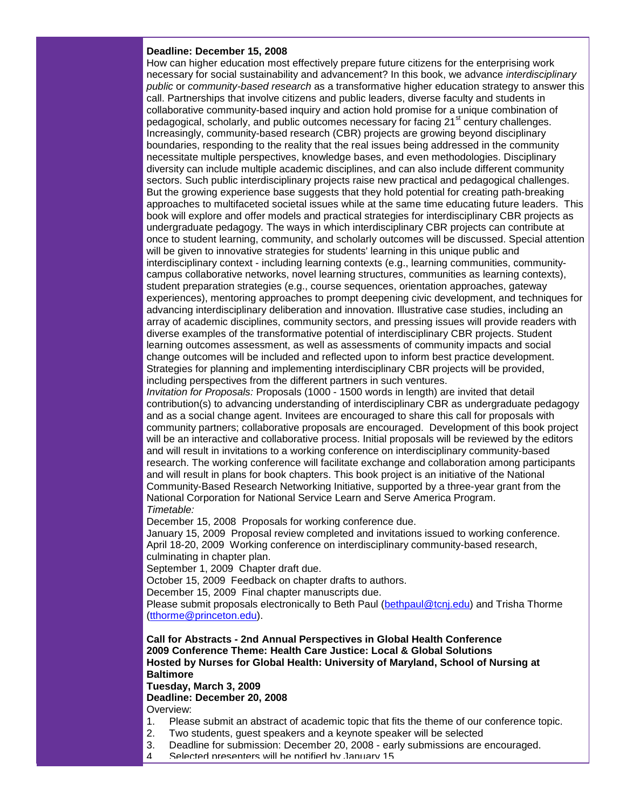### **Deadline: December 15, 2008**

How can higher education most effectively prepare future citizens for the enterprising work necessary for social sustainability and advancement? In this book, we advance *interdisciplinary public* or *community-based research* as a transformative higher education strategy to answer this call. Partnerships that involve citizens and public leaders, diverse faculty and students in collaborative community-based inquiry and action hold promise for a unique combination of pedagogical, scholarly, and public outcomes necessary for facing  $21<sup>st</sup>$  century challenges. Increasingly, community-based research (CBR) projects are growing beyond disciplinary boundaries, responding to the reality that the real issues being addressed in the community necessitate multiple perspectives, knowledge bases, and even methodologies. Disciplinary diversity can include multiple academic disciplines, and can also include different community sectors. Such public interdisciplinary projects raise new practical and pedagogical challenges. But the growing experience base suggests that they hold potential for creating path-breaking approaches to multifaceted societal issues while at the same time educating future leaders. This book will explore and offer models and practical strategies for interdisciplinary CBR projects as undergraduate pedagogy. The ways in which interdisciplinary CBR projects can contribute at once to student learning, community, and scholarly outcomes will be discussed. Special attention will be given to innovative strategies for students' learning in this unique public and interdisciplinary context - including learning contexts (e.g., learning communities, communitycampus collaborative networks, novel learning structures, communities as learning contexts), student preparation strategies (e.g., course sequences, orientation approaches, gateway experiences), mentoring approaches to prompt deepening civic development, and techniques for advancing interdisciplinary deliberation and innovation. Illustrative case studies, including an array of academic disciplines, community sectors, and pressing issues will provide readers with diverse examples of the transformative potential of interdisciplinary CBR projects. Student learning outcomes assessment, as well as assessments of community impacts and social change outcomes will be included and reflected upon to inform best practice development. Strategies for planning and implementing interdisciplinary CBR projects will be provided, including perspectives from the different partners in such ventures.

*Invitation for Proposals:* Proposals (1000 - 1500 words in length) are invited that detail contribution(s) to advancing understanding of interdisciplinary CBR as undergraduate pedagogy and as a social change agent. Invitees are encouraged to share this call for proposals with community partners; collaborative proposals are encouraged. Development of this book project will be an interactive and collaborative process. Initial proposals will be reviewed by the editors and will result in invitations to a working conference on interdisciplinary community-based research. The working conference will facilitate exchange and collaboration among participants and will result in plans for book chapters. This book project is an initiative of the National Community-Based Research Networking Initiative, supported by a three-year grant from the National Corporation for National Service Learn and Serve America Program. *Timetable:* 

December 15, 2008 Proposals for working conference due.

January 15, 2009 Proposal review completed and invitations issued to working conference. April 18-20, 2009 Working conference on interdisciplinary community-based research, culminating in chapter plan.

September 1, 2009 Chapter draft due.

October 15, 2009 Feedback on chapter drafts to authors.

December 15, 2009 Final chapter manuscripts due.

Please submit proposals electronically to Beth Paul [\(bethpaul@tcnj.edu\)](mailto:bethpaul@tcnj.edu) and Trisha Thorme [\(tthorme@princeton.edu\)](mailto:tthorme@princeton.edu).

**Call for Abstracts - 2nd Annual Perspectives in Global Health Conference 2009 Conference Theme: Health Care Justice: Local & Global Solutions Hosted by Nurses for Global Health: University of Maryland, School of Nursing at Baltimore**

**Tuesday, March 3, 2009 Deadline: December 20, 2008** Overview:

- 1. Please submit an abstract of academic topic that fits the theme of our conference topic.
- 2. Two students, guest speakers and a keynote speaker will be selected
- 3. Deadline for submission: December 20, 2008 early submissions are encouraged.<br>4. Selected presenters will be notified by January 15.
	- 4. Selected presenters will be notified by January 15.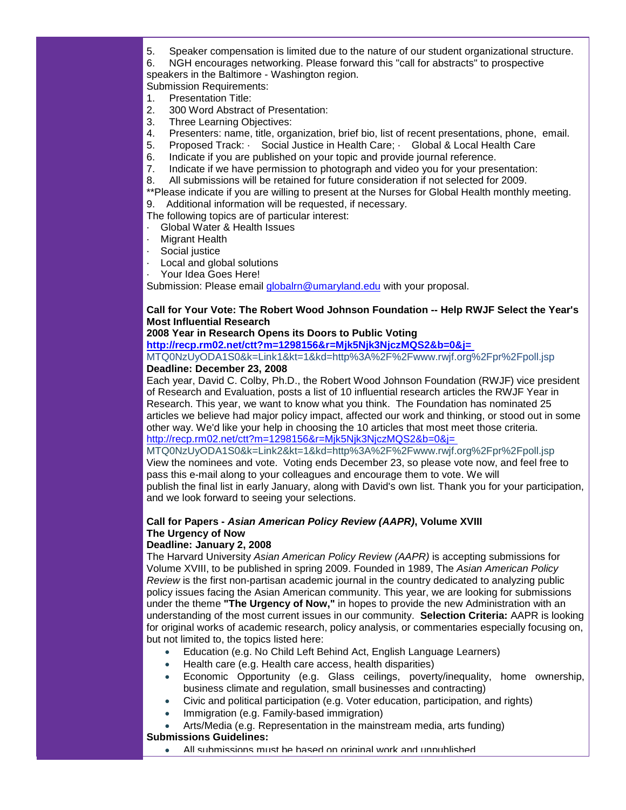5. Speaker compensation is limited due to the nature of our student organizational structure.

6. NGH encourages networking. Please forward this "call for abstracts" to prospective speakers in the Baltimore - Washington region.

Submission Requirements:

- 1. Presentation Title:
- 2. 300 Word Abstract of Presentation:
- 3. Three Learning Objectives:
- 4. Presenters: name, title, organization, brief bio, list of recent presentations, phone, email.
- 5. Proposed Track: · Social Justice in Health Care; · Global & Local Health Care<br>6. Indicate if you are published on your topic and provide iournal reference.
- 6. Indicate if you are published on your topic and provide journal reference.<br>7. Indicate if we have permission to photograph and video you for your pres
- Indicate if we have permission to photograph and video you for your presentation:
- 8. All submissions will be retained for future consideration if not selected for 2009.

\*\*Please indicate if you are willing to present at the Nurses for Global Health monthly meeting. 9. Additional information will be requested, if necessary.

The following topics are of particular interest:

- · Global Water & Health Issues
- **Migrant Health**
- Social justice
- Local and global solutions
- Your Idea Goes Here!

Submission: Please email [globalrn@umaryland.edu](mailto:globalrn@umaryland.edu) with your proposal.

# **Call for Your Vote: The Robert Wood Johnson Foundation -- Help RWJF Select the Year's Most Influential Research**

# **2008 Year in Research Opens its Doors to Public Voting**

**[http://recp.rm02.net/ctt?m=1298156&r=Mjk5Njk3NjczMQS2&b=0&j=](http://rs6.net/tn.jsp?e=001AW0XOZKN2UzUl9pEIYdDCBbBD3CzaH5Qgb7eoxrbZ7PTctYAyECIptwcEzgtJEHFr-nkYWdvpwEF9Mf9eqpMRFczahKOxQ-DIXKfvBrumU6bXFSRrg6urxlJuOwsSVHK5olt1K3LE1mf6cQT4XupcuNXrEDF7K7r7GdgWYV3VWadOzqZPuNQxABqNHuGL1o-BA8Lf2kIrF7BrH7WQ0hsDlLefdEN3M8RT8Ky31JN5nlIZK0OCr8hsf8N_PBwI2Hr5YRn7a6NYOpPIjJ30oD_qC2c5Bnc0JfFefZAO2ezOj5AkMrwPbmCZg==)**

MTQ0NzUyODA1S0&k=Link1&kt=1&kd=http%3A%2F%2Fwww.rwjf.org%2Fpr%2Fpoll.jsp **Deadline: December 23, 2008**

Each year, David C. Colby, Ph.D., the Robert Wood Johnson Foundation (RWJF) vice president of Research and Evaluation, posts a list of 10 influential research articles the RWJF Year in Research. This year, we want to know what you think. The Foundation has nominated 25 articles we believe had major policy impact, affected our work and thinking, or stood out in some other way. We'd like your help in choosing the 10 articles that most meet those criteria. [http://recp.rm02.net/ctt?m=1298156&r=Mjk5Njk3NjczMQS2&b=0&j=](http://rs6.net/tn.jsp?e=001AW0XOZKN2Ux8raRVkLk262GOVWpXBNRV_IdUKFrCajh5wogMqOmmDz_EVE48gkZvKwJmnzMfeWb2CONu_AD0uCLE5YOvf2KVPAfU2Za9ZG2aslbNQRN7p-reob1e1zjuXlZHVAj2Kp0gkVIwgfWFbzNuc4K0J531ekuAo6qRcMYaEeemwHZsa-6tS33YWhW_ez_VLui9cTcNb5h2KRUgV1VEkn_msDmIjSMFKvhBSk9rPcycvwQwmDcfULHGhcU9F_D_DpOMiyVMzNBrG9iAAEh-bY7mhNRecXK8IE8v5evCbuDXzkKtqA==)

MTQ0NzUyODA1S0&k=Link2&kt=1&kd=http%3A%2F%2Fwww.rwjf.org%2Fpr%2Fpoll.jsp View the nominees and vote. Voting ends December 23, so please vote now, and feel free to pass this e-mail along to your colleagues and encourage them to vote. We will publish the final list in early January, along with David's own list. Thank you for your participation, and we look forward to seeing your selections.

# **Call for Papers -** *Asian American Policy Review (AAPR)***, Volume XVIII The Urgency of Now**

# **Deadline: January 2, 2008**

The Harvard University *Asian American Policy Review (AAPR)* is accepting submissions for Volume XVIII, to be published in spring 2009. Founded in 1989, The *Asian American Policy Review* is the first non-partisan academic journal in the country dedicated to analyzing public policy issues facing the Asian American community. This year, we are looking for submissions under the theme **"The Urgency of Now,"** in hopes to provide the new Administration with an understanding of the most current issues in our community. **Selection Criteria:** AAPR is looking for original works of academic research, policy analysis, or commentaries especially focusing on, but not limited to, the topics listed here:

- Education (e.g. No Child Left Behind Act, English Language Learners)
- Health care (e.g. Health care access, health disparities)
- Economic Opportunity (e.g. Glass ceilings, poverty/inequality, home ownership, business climate and regulation, small businesses and contracting)
- Civic and political participation (e.g. Voter education, participation, and rights)
- Immigration (e.g. Family-based immigration)

• Arts/Media (e.g. Representation in the mainstream media, arts funding)

**Submissions Guidelines:**

All submissions must be based on original work and unpublished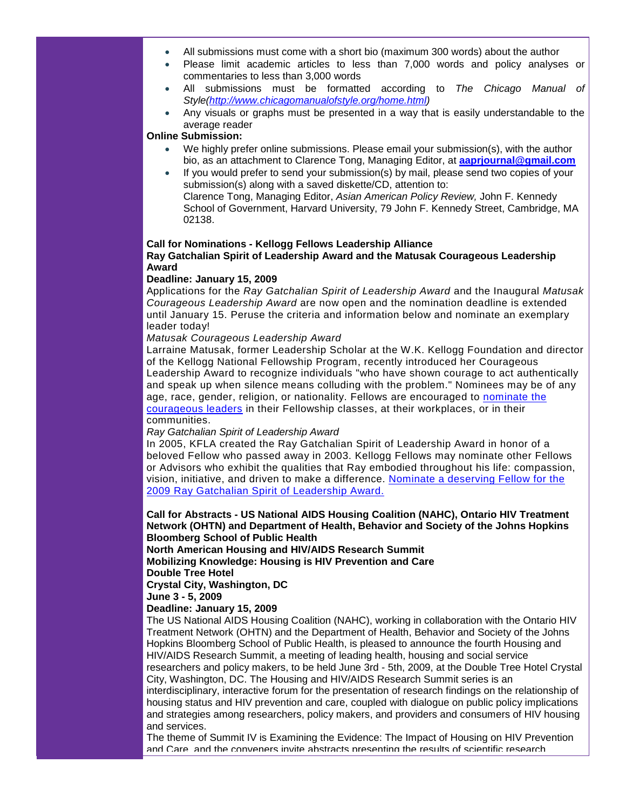- All submissions must come with a short bio (maximum 300 words) about the author
- Please limit academic articles to less than 7,000 words and policy analyses or commentaries to less than 3,000 words
- All submissions must be formatted according to *The Chicago Manual of Style[\(http://www.chicagomanualofstyle.org/home.html\)](http://rs6.net/tn.jsp?e=001AW0XOZKN2UxTvgZwJgZN4jeRzxd-GBNpHa1vLtmfTNXDOH5L3z_Q45FVEqi7rJID-Tkky7H3fV2hVBqwTWTBbQNYmcma7TiJ-xCt3kPnw2ooW0oP8QAO4Kb-OVk_3S3E4xU7bO2V99A=)*
- Any visuals or graphs must be presented in a way that is easily understandable to the average reader

# **Online Submission:**

- We highly prefer online submissions. Please email your submission(s), with the author bio, as an attachment to Clarence Tong, Managing Editor, at **[aaprjournal@gmail.com](mailto:aaprjournal@gmail.com)**
	- If you would prefer to send your submission(s) by mail, please send two copies of your submission(s) along with a saved diskette/CD, attention to: Clarence Tong, Managing Editor, *Asian American Policy Review,* John F. Kennedy School of Government, Harvard University, 79 John F. Kennedy Street, Cambridge, MA 02138.

#### **Call for Nominations - Kellogg Fellows Leadership Alliance**

# **Ray Gatchalian Spirit of Leadership Award and the Matusak Courageous Leadership Award**

#### **Deadline: January 15, 2009**

Applications for the *Ray Gatchalian Spirit of Leadership Award* and the Inaugural *Matusak Courageous Leadership Award* are now open and the nomination deadline is extended until January 15. Peruse the criteria and information below and nominate an exemplary leader today!

# *Matusak Courageous Leadership Award*

Larraine Matusak, former Leadership Scholar at the W.K. Kellogg Foundation and director of the Kellogg National Fellowship Program, recently introduced her Courageous Leadership Award to recognize individuals "who have shown courage to act authentically and speak up when silence means colluding with the problem." Nominees may be of any age, race, gender, religion, or nationality. Fellows are encouraged to [nominate the](http://rs6.net/tn.jsp?e=001rQ5_NZ9w1Kv4pDxi6OPx4basbQiSY37RiWfBCno69m6-Z3mklBhAxHPMuhaAAtRz5IEuckMn-QYNGUoei7V1eYCn-P_OCXAiJRFNRQYIKszQ-wVj2U9D1bT9sMQndJ02uPWbqYXHW2y3YH4yKzpAQw==)  [courageous leaders](http://rs6.net/tn.jsp?e=001rQ5_NZ9w1Kv4pDxi6OPx4basbQiSY37RiWfBCno69m6-Z3mklBhAxHPMuhaAAtRz5IEuckMn-QYNGUoei7V1eYCn-P_OCXAiJRFNRQYIKszQ-wVj2U9D1bT9sMQndJ02uPWbqYXHW2y3YH4yKzpAQw==) in their Fellowship classes, at their workplaces, or in their communities.

# *Ray Gatchalian Spirit of Leadership Award*

In 2005, KFLA created the Ray Gatchalian Spirit of Leadership Award in honor of a beloved Fellow who passed away in 2003. Kellogg Fellows may nominate other Fellows or Advisors who exhibit the qualities that Ray embodied throughout his life: compassion, vision, initiative, and driven to make a difference. [Nominate a deserving Fellow for the](http://rs6.net/tn.jsp?e=001rQ5_NZ9w1KuXjWuv3_2UiMl558JtVqMzv_On0O3xPb5FOxLKcP9UslYHZQfkG42exLA8K2zBgRkkRMtXqsump214mqz7zGIQ4tVVt-HDxTA4t-2m50FAE9as6hCYu0OLZ3wRDELedy54wUKJrzXEbQ==)  [2009 Ray Gatchalian Spirit of Leadership Award.](http://rs6.net/tn.jsp?e=001rQ5_NZ9w1KuXjWuv3_2UiMl558JtVqMzv_On0O3xPb5FOxLKcP9UslYHZQfkG42exLA8K2zBgRkkRMtXqsump214mqz7zGIQ4tVVt-HDxTA4t-2m50FAE9as6hCYu0OLZ3wRDELedy54wUKJrzXEbQ==) 

# **Call for Abstracts - US National AIDS Housing Coalition (NAHC), Ontario HIV Treatment Network (OHTN) and Department of Health, Behavior and Society of the Johns Hopkins Bloomberg School of Public Health**

**North American Housing and HIV/AIDS Research Summit Mobilizing Knowledge: Housing is HIV Prevention and Care Double Tree Hotel**

**Crystal City, Washington, DC**

**June 3 - 5, 2009**

# **Deadline: January 15, 2009**

The US National AIDS Housing Coalition (NAHC), working in collaboration with the Ontario HIV Treatment Network (OHTN) and the Department of Health, Behavior and Society of the Johns Hopkins Bloomberg School of Public Health, is pleased to announce the fourth Housing and HIV/AIDS Research Summit, a meeting of leading health, housing and social service researchers and policy makers, to be held June 3rd - 5th, 2009, at the Double Tree Hotel Crystal City, Washington, DC. The Housing and HIV/AIDS Research Summit series is an interdisciplinary, interactive forum for the presentation of research findings on the relationship of housing status and HIV prevention and care, coupled with dialogue on public policy implications and strategies among researchers, policy makers, and providers and consumers of HIV housing and services.

The theme of Summit IV is Examining the Evidence: The Impact of Housing on HIV Prevention and Care, and the conveners invite abstracts presenting the results of scientific research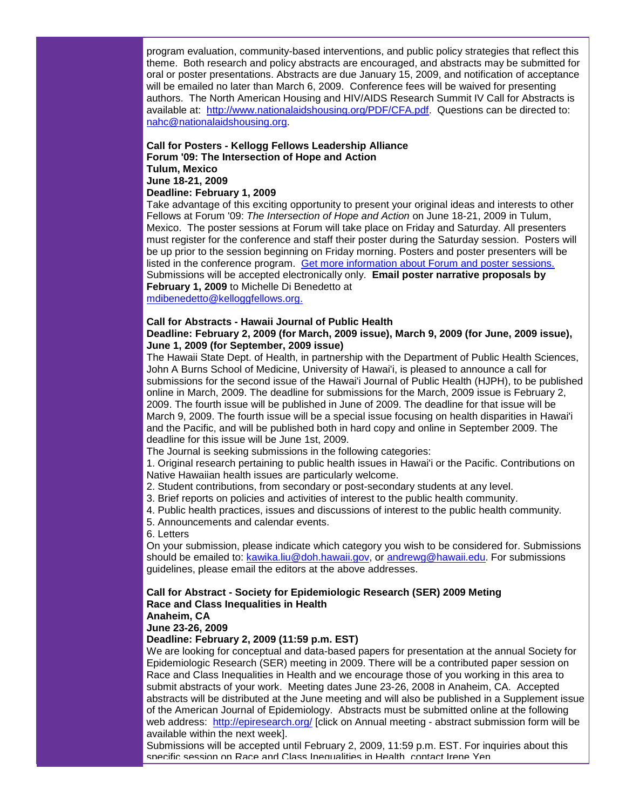program evaluation, community-based interventions, and public policy strategies that reflect this theme. Both research and policy abstracts are encouraged, and abstracts may be submitted for oral or poster presentations. Abstracts are due January 15, 2009, and notification of acceptance will be emailed no later than March 6, 2009. Conference fees will be waived for presenting authors. The North American Housing and HIV/AIDS Research Summit IV Call for Abstracts is available at: [http://www.nationalaidshousing.org/PDF/CFA.pdf.](http://rs6.net/tn.jsp?t=axdsdvcab.0.milcgvcab.5gytkqcab.1&ts=S0383&p=http%3A%2F%2Fwww.nationalaidshousing.org%2FPDF%2FCFA.pdf) Questions can be directed to: [nahc@nationalaidshousing.org.](mailto:nahc@nationalaidshousing.org)

#### **Call for Posters - Kellogg Fellows Leadership Alliance Forum '09: The Intersection of Hope and Action Tulum, Mexico June 18-21, 2009**

# **Deadline: February 1, 2009**

Take advantage of this exciting opportunity to present your original ideas and interests to other Fellows at Forum '09: *The Intersection of Hope and Action* on June 18-21, 2009 in Tulum, Mexico. The poster sessions at Forum will take place on Friday and Saturday. All presenters must register for the conference and staff their poster during the Saturday session. Posters will be up prior to the session beginning on Friday morning. Posters and poster presenters will be listed in the conference program. [Get more information about Forum and poster sessions.](http://rs6.net/tn.jsp?t=5lvbbucab.0.0.qkoxmkcab.0&p=http%3A%2F%2Fwww.kfla.org%2Fprograms%2F%3Fp%3Dp%26c%3D8&id=preview) Submissions will be accepted electronically only. **Email poster narrative proposals by February 1, 2009** to Michelle Di Benedetto at

[mdibenedetto@kelloggfellows.org.](mailto:mdibenedetto@kelloggfellows.org)

# **Call for Abstracts - Hawaii Journal of Public Health**

### **Deadline: February 2, 2009 (for March, 2009 issue), March 9, 2009 (for June, 2009 issue), June 1, 2009 (for September, 2009 issue)**

The Hawaii State Dept. of Health, in partnership with the Department of Public Health Sciences, John A Burns School of Medicine, University of Hawai'i, is pleased to announce a call for submissions for the second issue of the Hawai'i Journal of Public Health (HJPH), to be published online in March, 2009. The deadline for submissions for the March, 2009 issue is February 2, 2009. The fourth issue will be published in June of 2009. The deadline for that issue will be March 9, 2009. The fourth issue will be a special issue focusing on health disparities in Hawai'i and the Pacific, and will be published both in hard copy and online in September 2009. The deadline for this issue will be June 1st, 2009.

The Journal is seeking submissions in the following categories:

1. Original research pertaining to public health issues in Hawai'i or the Pacific. Contributions on Native Hawaiian health issues are particularly welcome.

2. Student contributions, from secondary or post-secondary students at any level.

- 3. Brief reports on policies and activities of interest to the public health community.
- 4. Public health practices, issues and discussions of interest to the public health community.
- 5. Announcements and calendar events.

6. Letters

On your submission, please indicate which category you wish to be considered for. Submissions should be emailed to: [kawika.liu@doh.hawaii.gov,](mailto:kawika.liu@doh.hawaii.gov) or [andrewg@hawaii.edu.](mailto:andrewg@hawaii.edu) For submissions guidelines, please email the editors at the above addresses.

# **Call for Abstract - Society for Epidemiologic Research (SER) 2009 Meting Race and Class Inequalities in Health**

**Anaheim, CA**

**June 23-26, 2009**

#### **Deadline: February 2, 2009 (11:59 p.m. EST)**

We are looking for conceptual and data-based papers for presentation at the annual Society for Epidemiologic Research (SER) meeting in 2009. There will be a contributed paper session on Race and Class Inequalities in Health and we encourage those of you working in this area to submit abstracts of your work. Meeting dates June 23-26, 2008 in Anaheim, CA. Accepted abstracts will be distributed at the June meeting and will also be published in a Supplement issue of the American Journal of Epidemiology. Abstracts must be submitted online at the following web address: [http://epiresearch.org/](http://rs6.net/tn.jsp?t=axdsdvcab.0.nilcgvcab.5gytkqcab.1&ts=S0383&p=http%3A%2F%2Fepiresearch.org%2F) [click on Annual meeting - abstract submission form will be available within the next week].

Submissions will be accepted until February 2, 2009, 11:59 p.m. EST. For inquiries about this specific session on Race and Class Inequalities in Health, contact Irene Yen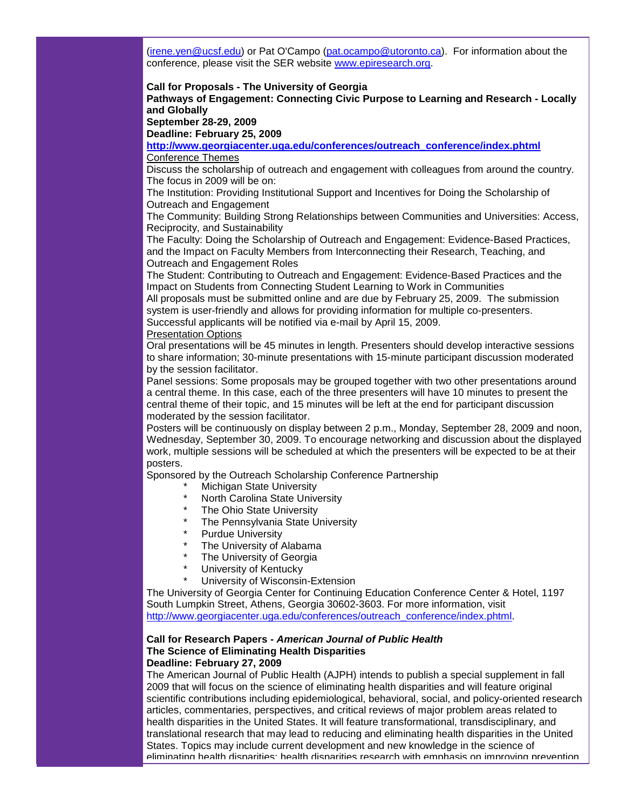[\(irene.yen@ucsf.edu\)](mailto:irene.yen@ucsf.edu) or Pat O'Campo [\(pat.ocampo@utoronto.ca\)](mailto:pat.ocampo@utoronto.ca). For information about the conference, please visit the SER website [www.epiresearch.org.](http://rs6.net/tn.jsp?t=axdsdvcab.0.oilcgvcab.5gytkqcab.1&ts=S0383&p=http%3A%2F%2Fwww.epiresearch.org%2F)

#### **Call for Proposals - The University of Georgia Pathways of Engagement: Connecting Civic Purpose to Learning and Research - Locally and Globally**

**September 28-29, 2009** 

**Deadline: February 25, 2009**

**[http://www.georgiacenter.uga.edu/conferences/outreach\\_conference/index.phtml](http://rs6.net/tn.jsp?t=axdsdvcab.0.pilcgvcab.5gytkqcab.1&ts=S0383&p=http%3A%2F%2Fwww.georgiacenter.uga.edu%2Fconferences%2Foutreach_conference%2Findex.phtml)** Conference Themes

Discuss the scholarship of outreach and engagement with colleagues from around the country. The focus in 2009 will be on:

The Institution: Providing Institutional Support and Incentives for Doing the Scholarship of Outreach and Engagement

The Community: Building Strong Relationships between Communities and Universities: Access, Reciprocity, and Sustainability

The Faculty: Doing the Scholarship of Outreach and Engagement: Evidence-Based Practices, and the Impact on Faculty Members from Interconnecting their Research, Teaching, and Outreach and Engagement Roles

The Student: Contributing to Outreach and Engagement: Evidence-Based Practices and the Impact on Students from Connecting Student Learning to Work in Communities

All proposals must be submitted online and are due by February 25, 2009. The submission system is user-friendly and allows for providing information for multiple co-presenters. Successful applicants will be notified via e-mail by April 15, 2009.

# Presentation Options

Oral presentations will be 45 minutes in length. Presenters should develop interactive sessions to share information; 30-minute presentations with 15-minute participant discussion moderated by the session facilitator.

Panel sessions: Some proposals may be grouped together with two other presentations around a central theme. In this case, each of the three presenters will have 10 minutes to present the central theme of their topic, and 15 minutes will be left at the end for participant discussion moderated by the session facilitator.

Posters will be continuously on display between 2 p.m., Monday, September 28, 2009 and noon, Wednesday, September 30, 2009. To encourage networking and discussion about the displayed work, multiple sessions will be scheduled at which the presenters will be expected to be at their posters.

Sponsored by the Outreach Scholarship Conference Partnership

- **Michigan State University**
- North Carolina State University
- The Ohio State University
- The Pennsylvania State University
- Purdue University
- The University of Alabama
- The University of Georgia
- University of Kentucky
- University of Wisconsin-Extension

The University of Georgia Center for Continuing Education Conference Center & Hotel, 1197 South Lumpkin Street, Athens, Georgia 30602-3603. For more information, visit [http://www.georgiacenter.uga.edu/conferences/outreach\\_conference/index.phtml.](http://rs6.net/tn.jsp?t=axdsdvcab.0.pilcgvcab.5gytkqcab.1&ts=S0383&p=http%3A%2F%2Fwww.georgiacenter.uga.edu%2Fconferences%2Foutreach_conference%2Findex.phtml)

# **Call for Research Papers -** *American Journal of Public Health* **The Science of Eliminating Health Disparities Deadline: February 27, 2009**

The American Journal of Public Health (AJPH) intends to publish a special supplement in fall 2009 that will focus on the science of eliminating health disparities and will feature original scientific contributions including epidemiological, behavioral, social, and policy-oriented research articles, commentaries, perspectives, and critical reviews of major problem areas related to health disparities in the United States. It will feature transformational, transdisciplinary, and translational research that may lead to reducing and eliminating health disparities in the United States. Topics may include current development and new knowledge in the science of eliminating health disparities; health disparities research with emphasis on improving prevention,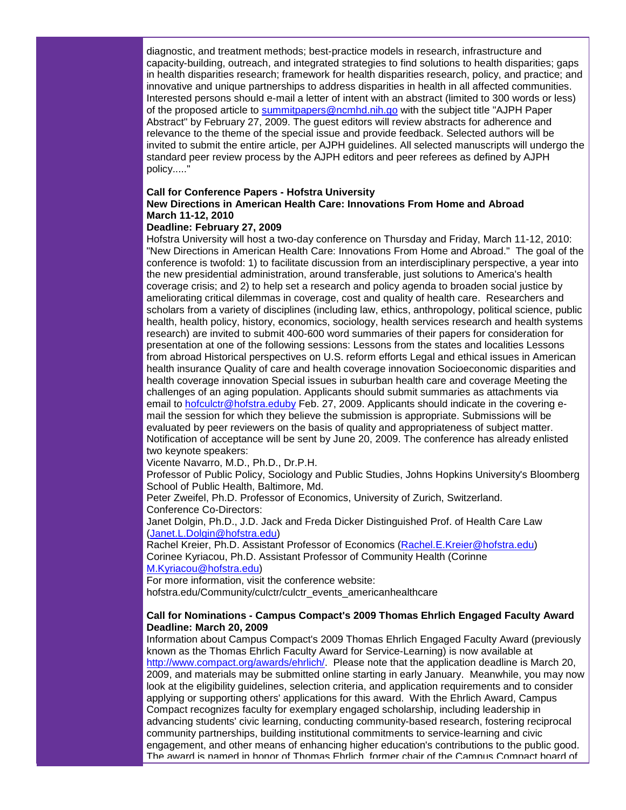diagnostic, and treatment methods; best-practice models in research, infrastructure and capacity-building, outreach, and integrated strategies to find solutions to health disparities; gaps in health disparities research; framework for health disparities research, policy, and practice; and innovative and unique partnerships to address disparities in health in all affected communities. Interested persons should e-mail a letter of intent with an abstract (limited to 300 words or less) of the proposed article to [summitpapers@ncmhd.nih.go](mailto:summitpapers@ncmhd.nih.go) with the subject title "AJPH Paper Abstract" by February 27, 2009. The guest editors will review abstracts for adherence and relevance to the theme of the special issue and provide feedback. Selected authors will be invited to submit the entire article, per AJPH guidelines. All selected manuscripts will undergo the standard peer review process by the AJPH editors and peer referees as defined by AJPH policy....."

# **Call for Conference Papers - Hofstra University**

# **New Directions in American Health Care: Innovations From Home and Abroad March 11-12, 2010**

# **Deadline: February 27, 2009**

Hofstra University will host a two-day conference on Thursday and Friday, March 11-12, 2010: "New Directions in American Health Care: Innovations From Home and Abroad." The goal of the conference is twofold: 1) to facilitate discussion from an interdisciplinary perspective, a year into the new presidential administration, around transferable, just solutions to America's health coverage crisis; and 2) to help set a research and policy agenda to broaden social justice by ameliorating critical dilemmas in coverage, cost and quality of health care. Researchers and scholars from a variety of disciplines (including law, ethics, anthropology, political science, public health, health policy, history, economics, sociology, health services research and health systems research) are invited to submit 400-600 word summaries of their papers for consideration for presentation at one of the following sessions: Lessons from the states and localities Lessons from abroad Historical perspectives on U.S. reform efforts Legal and ethical issues in American health insurance Quality of care and health coverage innovation Socioeconomic disparities and health coverage innovation Special issues in suburban health care and coverage Meeting the challenges of an aging population. Applicants should submit summaries as attachments via email to [hofculctr@hofstra.eduby](mailto:hofculctr@hofstra.eduby) Feb. 27, 2009. Applicants should indicate in the covering email the session for which they believe the submission is appropriate. Submissions will be evaluated by peer reviewers on the basis of quality and appropriateness of subject matter. Notification of acceptance will be sent by June 20, 2009. The conference has already enlisted two keynote speakers:

Vicente Navarro, M.D., Ph.D., Dr.P.H.

Professor of Public Policy, Sociology and Public Studies, Johns Hopkins University's Bloomberg School of Public Health, Baltimore, Md.

Peter Zweifel, Ph.D. Professor of Economics, University of Zurich, Switzerland. Conference Co-Directors:

Janet Dolgin, Ph.D., J.D. Jack and Freda Dicker Distinguished Prof. of Health Care Law [\(Janet.L.Dolgin@hofstra.edu\)](mailto:Janet.L.Dolgin@hofstra.edu)

Rachel Kreier, Ph.D. Assistant Professor of Economics [\(Rachel.E.Kreier@hofstra.edu\)](mailto:Rachel.E.Kreier@hofstra.edu) Corinee Kyriacou, Ph.D. Assistant Professor of Community Health (Corinne [M.Kyriacou@hofstra.edu\)](mailto:M.Kyriacou@hofstra.edu)

For more information, visit the conference website:

hofstra.edu/Community/culctr/culctr\_events\_americanhealthcare

# **Call for Nominations - Campus Compact's 2009 Thomas Ehrlich Engaged Faculty Award Deadline: March 20, 2009**

Information about Campus Compact's 2009 Thomas Ehrlich Engaged Faculty Award (previously known as the Thomas Ehrlich Faculty Award for Service-Learning) is now available at [http://www.compact.org/awards/ehrlich/.](http://rs6.net/tn.jsp?t=axdsdvcab.0.qilcgvcab.5gytkqcab.1&ts=S0383&p=http%3A%2F%2Fwww.compact.org%2Fawards%2Fehrlich%2F) Please note that the application deadline is March 20, 2009, and materials may be submitted online starting in early January. Meanwhile, you may now look at the eligibility guidelines, selection criteria, and application requirements and to consider applying or supporting others' applications for this award. With the Ehrlich Award, Campus Compact recognizes faculty for exemplary engaged scholarship, including leadership in advancing students' civic learning, conducting community-based research, fostering reciprocal community partnerships, building institutional commitments to service-learning and civic engagement, and other means of enhancing higher education's contributions to the public good. The award is named in honor of Thomas Ehrlich, former chair of the Campus Compact board of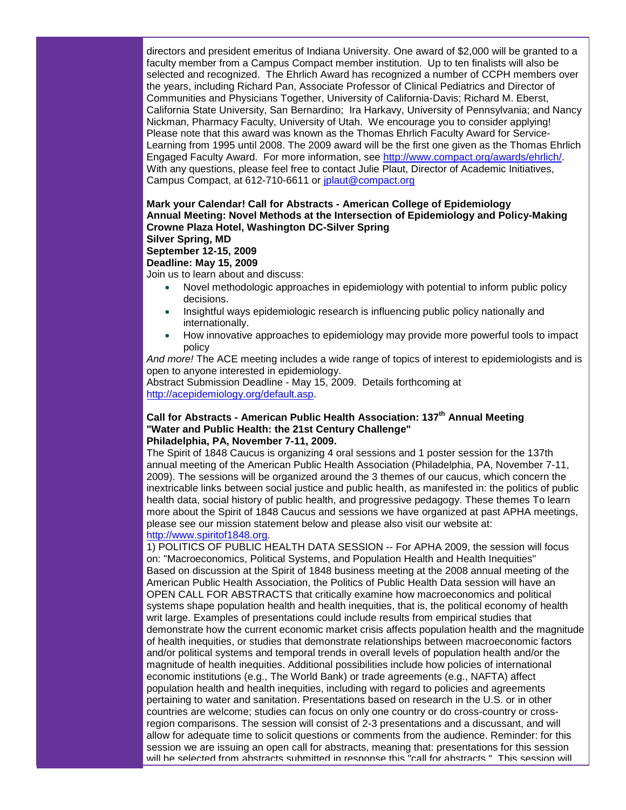directors and president emeritus of Indiana University. One award of \$2,000 will be granted to a faculty member from a Campus Compact member institution. Up to ten finalists will also be selected and recognized. The Ehrlich Award has recognized a number of CCPH members over the years, including Richard Pan, Associate Professor of Clinical Pediatrics and Director of Communities and Physicians Together, University of California-Davis; Richard M. Eberst, California State University, San Bernardino; Ira Harkavy, University of Pennsylvania; and Nancy Nickman, Pharmacy Faculty, University of Utah. We encourage you to consider applying! Please note that this award was known as the Thomas Ehrlich Faculty Award for Service-Learning from 1995 until 2008. The 2009 award will be the first one given as the Thomas Ehrlich Engaged Faculty Award. For more information, see [http://www.compact.org/awards/ehrlich/.](http://rs6.net/tn.jsp?t=axdsdvcab.0.qilcgvcab.5gytkqcab.1&ts=S0383&p=http%3A%2F%2Fwww.compact.org%2Fawards%2Fehrlich%2F) With any questions, please feel free to contact Julie Plaut, Director of Academic Initiatives, Campus Compact, at 612-710-6611 or [jplaut@compact.org](mailto:jplaut@compact.org)

# **Mark your Calendar! Call for Abstracts - American College of Epidemiology Annual Meeting: Novel Methods at the Intersection of Epidemiology and Policy-Making Crowne Plaza Hotel, Washington DC-Silver Spring Silver Spring, MD September 12-15, 2009**

# **Deadline: May 15, 2009**

Join us to learn about and discuss:

- Novel methodologic approaches in epidemiology with potential to inform public policy decisions.
- Insightful ways epidemiologic research is influencing public policy nationally and internationally.
- How innovative approaches to epidemiology may provide more powerful tools to impact policy

*And more!* The ACE meeting includes a wide range of topics of interest to epidemiologists and is open to anyone interested in epidemiology.

Abstract Submission Deadline - May 15, 2009. Details forthcoming at [http://acepidemiology.org/default.asp.](http://rs6.net/tn.jsp?t=axdsdvcab.0.rilcgvcab.5gytkqcab.1&ts=S0383&p=http%3A%2F%2Facepidemiology.org%2Fdefault.asp)

# **Call for Abstracts - American Public Health Association: 137th Annual Meeting "Water and Public Health: the 21st Century Challenge" Philadelphia, PA, November 7-11, 2009.**

The Spirit of 1848 Caucus is organizing 4 oral sessions and 1 poster session for the 137th annual meeting of the American Public Health Association (Philadelphia, PA, November 7-11, 2009). The sessions will be organized around the 3 themes of our caucus, which concern the inextricable links between social justice and public health, as manifested in: the politics of public health data, social history of public health, and progressive pedagogy. These themes To learn more about the Spirit of 1848 Caucus and sessions we have organized at past APHA meetings, please see our mission statement below and please also visit our website at: [http://www.spiritof1848.org.](http://rs6.net/tn.jsp?t=axdsdvcab.0.silcgvcab.5gytkqcab.1&ts=S0383&p=http%3A%2F%2Fwww.spiritof1848.org%2F)

1) POLITICS OF PUBLIC HEALTH DATA SESSION -- For APHA 2009, the session will focus on: "Macroeconomics, Political Systems, and Population Health and Health Inequities" Based on discussion at the Spirit of 1848 business meeting at the 2008 annual meeting of the American Public Health Association, the Politics of Public Health Data session will have an OPEN CALL FOR ABSTRACTS that critically examine how macroeconomics and political systems shape population health and health inequities, that is, the political economy of health writ large. Examples of presentations could include results from empirical studies that demonstrate how the current economic market crisis affects population health and the magnitude of health inequities, or studies that demonstrate relationships between macroeconomic factors and/or political systems and temporal trends in overall levels of population health and/or the magnitude of health inequities. Additional possibilities include how policies of international economic institutions (e.g., The World Bank) or trade agreements (e.g., NAFTA) affect population health and health inequities, including with regard to policies and agreements pertaining to water and sanitation. Presentations based on research in the U.S. or in other countries are welcome; studies can focus on only one country or do cross-country or crossregion comparisons. The session will consist of 2-3 presentations and a discussant, and will allow for adequate time to solicit questions or comments from the audience. Reminder: for this session we are issuing an open call for abstracts, meaning that: presentations for this session will be selected from abstracts submitted in response this "call for abstracts." This session will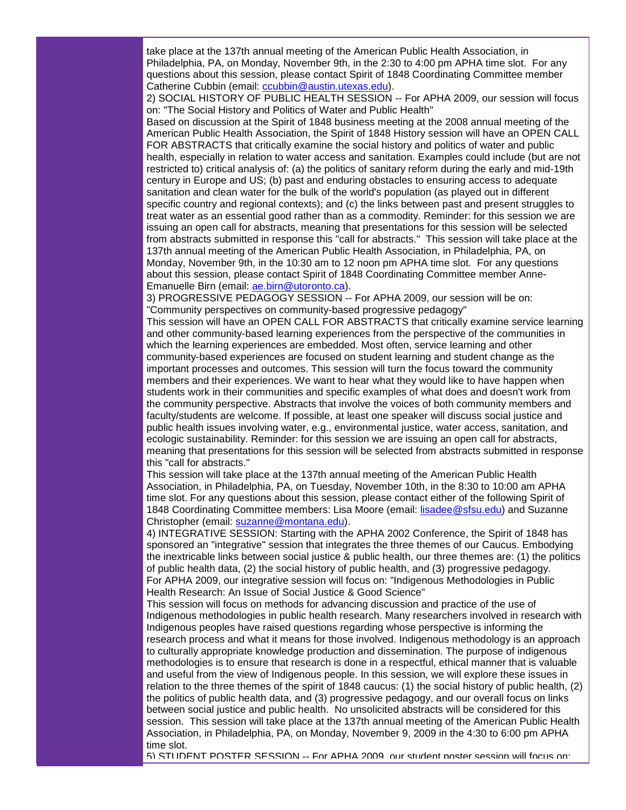take place at the 137th annual meeting of the American Public Health Association, in Philadelphia, PA, on Monday, November 9th, in the 2:30 to 4:00 pm APHA time slot. For any questions about this session, please contact Spirit of 1848 Coordinating Committee member Catherine Cubbin (email: [ccubbin@austin.utexas.edu\)](mailto:ccubbin@austin.utexas.edu).

2) SOCIAL HISTORY OF PUBLIC HEALTH SESSION -- For APHA 2009, our session will focus on: "The Social History and Politics of Water and Public Health"

Based on discussion at the Spirit of 1848 business meeting at the 2008 annual meeting of the American Public Health Association, the Spirit of 1848 History session will have an OPEN CALL FOR ABSTRACTS that critically examine the social history and politics of water and public health, especially in relation to water access and sanitation. Examples could include (but are not restricted to) critical analysis of: (a) the politics of sanitary reform during the early and mid-19th century in Europe and US; (b) past and enduring obstacles to ensuring access to adequate sanitation and clean water for the bulk of the world's population (as played out in different specific country and regional contexts); and (c) the links between past and present struggles to treat water as an essential good rather than as a commodity. Reminder: for this session we are issuing an open call for abstracts, meaning that presentations for this session will be selected from abstracts submitted in response this "call for abstracts." This session will take place at the 137th annual meeting of the American Public Health Association, in Philadelphia, PA, on Monday, November 9th, in the 10:30 am to 12 noon pm APHA time slot. For any questions about this session, please contact Spirit of 1848 Coordinating Committee member Anne-Emanuelle Birn (email: [ae.birn@utoronto.ca\)](mailto:ae.birn@utoronto.ca).

3) PROGRESSIVE PEDAGOGY SESSION -- For APHA 2009, our session will be on: "Community perspectives on community-based progressive pedagogy"

This session will have an OPEN CALL FOR ABSTRACTS that critically examine service learning and other community-based learning experiences from the perspective of the communities in which the learning experiences are embedded. Most often, service learning and other community-based experiences are focused on student learning and student change as the important processes and outcomes. This session will turn the focus toward the community members and their experiences. We want to hear what they would like to have happen when students work in their communities and specific examples of what does and doesn't work from the community perspective. Abstracts that involve the voices of both community members and faculty/students are welcome. If possible, at least one speaker will discuss social justice and public health issues involving water, e.g., environmental justice, water access, sanitation, and ecologic sustainability. Reminder: for this session we are issuing an open call for abstracts, meaning that presentations for this session will be selected from abstracts submitted in response this "call for abstracts."

This session will take place at the 137th annual meeting of the American Public Health Association, in Philadelphia, PA, on Tuesday, November 10th, in the 8:30 to 10:00 am APHA time slot. For any questions about this session, please contact either of the following Spirit of 1848 Coordinating Committee members: Lisa Moore (email: [lisadee@sfsu.edu\)](mailto:lisadee@sfsu.edu) and Suzanne Christopher (email: [suzanne@montana.edu\)](mailto:suzanne@montana.edu).

4) INTEGRATIVE SESSION: Starting with the APHA 2002 Conference, the Spirit of 1848 has sponsored an "integrative" session that integrates the three themes of our Caucus. Embodying the inextricable links between social justice & public health, our three themes are: (1) the politics of public health data, (2) the social history of public health, and (3) progressive pedagogy. For APHA 2009, our integrative session will focus on: "Indigenous Methodologies in Public Health Research: An Issue of Social Justice & Good Science"

This session will focus on methods for advancing discussion and practice of the use of Indigenous methodologies in public health research. Many researchers involved in research with Indigenous peoples have raised questions regarding whose perspective is informing the research process and what it means for those involved. Indigenous methodology is an approach to culturally appropriate knowledge production and dissemination. The purpose of indigenous methodologies is to ensure that research is done in a respectful, ethical manner that is valuable and useful from the view of Indigenous people. In this session, we will explore these issues in relation to the three themes of the spirit of 1848 caucus: (1) the social history of public health, (2) the politics of public health data, and (3) progressive pedagogy, and our overall focus on links between social justice and public health. No unsolicited abstracts will be considered for this session. This session will take place at the 137th annual meeting of the American Public Health Association, in Philadelphia, PA, on Monday, November 9, 2009 in the 4:30 to 6:00 pm APHA time slot.

5) STUDENT POSTER SESSION -- For APHA 2009, our student poster session will focus on: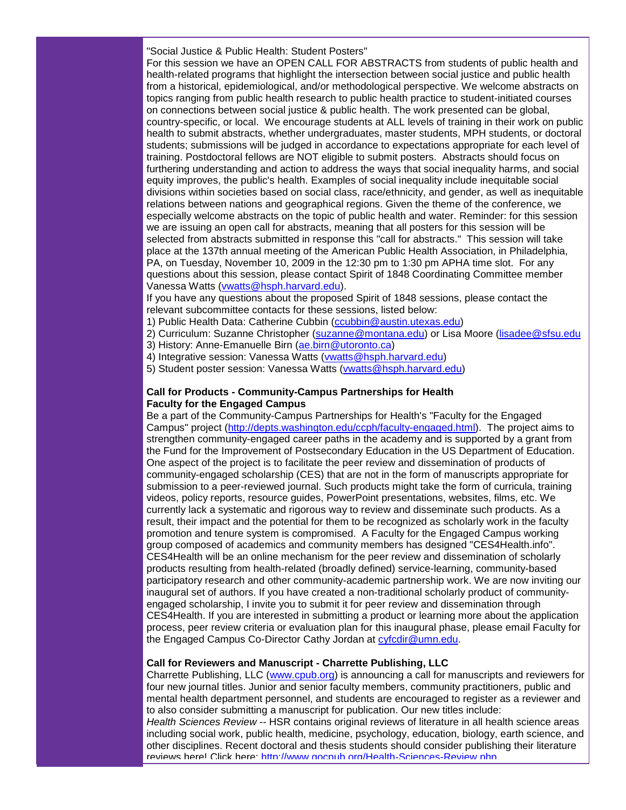"Social Justice & Public Health: Student Posters"

For this session we have an OPEN CALL FOR ABSTRACTS from students of public health and health-related programs that highlight the intersection between social justice and public health from a historical, epidemiological, and/or methodological perspective. We welcome abstracts on topics ranging from public health research to public health practice to student-initiated courses on connections between social justice & public health. The work presented can be global, country-specific, or local. We encourage students at ALL levels of training in their work on public health to submit abstracts, whether undergraduates, master students, MPH students, or doctoral students; submissions will be judged in accordance to expectations appropriate for each level of training. Postdoctoral fellows are NOT eligible to submit posters. Abstracts should focus on furthering understanding and action to address the ways that social inequality harms, and social equity improves, the public's health. Examples of social inequality include inequitable social divisions within societies based on social class, race/ethnicity, and gender, as well as inequitable relations between nations and geographical regions. Given the theme of the conference, we especially welcome abstracts on the topic of public health and water. Reminder: for this session we are issuing an open call for abstracts, meaning that all posters for this session will be selected from abstracts submitted in response this "call for abstracts." This session will take place at the 137th annual meeting of the American Public Health Association, in Philadelphia, PA, on Tuesday, November 10, 2009 in the 12:30 pm to 1:30 pm APHA time slot. For any questions about this session, please contact Spirit of 1848 Coordinating Committee member Vanessa Watts [\(vwatts@hsph.harvard.edu\)](mailto:vwatts@hsph.harvard.edu).

If you have any questions about the proposed Spirit of 1848 sessions, please contact the relevant subcommittee contacts for these sessions, listed below:

- 1) Public Health Data: Catherine Cubbin [\(ccubbin@austin.utexas.edu\)](mailto:ccubbin@austin.utexas.edu)
- 2) Curriculum: Suzanne Christopher [\(suzanne@montana.edu\)](mailto:suzanne@montana.edu) or Lisa Moore [\(lisadee@sfsu.edu](mailto:lisadee@sfsu.edu)
- 3) History: Anne-Emanuelle Birn [\(ae.birn@utoronto.ca\)](mailto:ae.birn@utoronto.ca)
- 4) Integrative session: Vanessa Watts [\(vwatts@hsph.harvard.edu\)](mailto:vwatts@hsph.harvard.edu)
- 5) Student poster session: Vanessa Watts [\(vwatts@hsph.harvard.edu\)](mailto:vwatts@hsph.harvard.edu)

# **Call for Products - Community-Campus Partnerships for Health Faculty for the Engaged Campus**

Be a part of the Community-Campus Partnerships for Health's "Faculty for the Engaged Campus" project [\(http://depts.washington.edu/ccph/faculty-engaged.html\)](http://rs6.net/tn.jsp?t=axdsdvcab.0.tilcgvcab.5gytkqcab.1&ts=S0383&p=http%3A%2F%2Fdepts.washington.edu%2Fccph%2Ffaculty-engaged.html). The project aims to strengthen community-engaged career paths in the academy and is supported by a grant from the Fund for the Improvement of Postsecondary Education in the US Department of Education. One aspect of the project is to facilitate the peer review and dissemination of products of community-engaged scholarship (CES) that are not in the form of manuscripts appropriate for submission to a peer-reviewed journal. Such products might take the form of curricula, training videos, policy reports, resource guides, PowerPoint presentations, websites, films, etc. We currently lack a systematic and rigorous way to review and disseminate such products. As a result, their impact and the potential for them to be recognized as scholarly work in the faculty promotion and tenure system is compromised. A Faculty for the Engaged Campus working group composed of academics and community members has designed "CES4Health.info". CES4Health will be an online mechanism for the peer review and dissemination of scholarly products resulting from health-related (broadly defined) service-learning, community-based participatory research and other community-academic partnership work. We are now inviting our inaugural set of authors. If you have created a non-traditional scholarly product of communityengaged scholarship, I invite you to submit it for peer review and dissemination through CES4Health. If you are interested in submitting a product or learning more about the application process, peer review criteria or evaluation plan for this inaugural phase, please email Faculty for the Engaged Campus Co-Director Cathy Jordan at [cyfcdir@umn.edu.](mailto:cyfcdir@umn.edu)

# **Call for Reviewers and Manuscript - Charrette Publishing, LLC**

Charrette Publishing, LLC [\(www.cpub.org\)](http://rs6.net/tn.jsp?t=axdsdvcab.0.uilcgvcab.5gytkqcab.1&ts=S0383&p=http%3A%2F%2Fwww.cpub.org%2F) is announcing a call for manuscripts and reviewers for four new journal titles. Junior and senior faculty members, community practitioners, public and mental health department personnel, and students are encouraged to register as a reviewer and to also consider submitting a manuscript for publication. Our new titles include: *Health Sciences Review* -- HSR contains original reviews of literature in all health science areas including social work, public health, medicine, psychology, education, biology, earth science, and other disciplines. Recent doctoral and thesis students should consider publishing their literature reviews here! Click here: [http://www.gocpub.org/Health-Sciences-Review.php.](http://rs6.net/tn.jsp?t=axdsdvcab.0.vilcgvcab.5gytkqcab.1&ts=S0383&p=http%3A%2F%2Fwww.gocpub.org%2FHealth-Sciences-Review.php)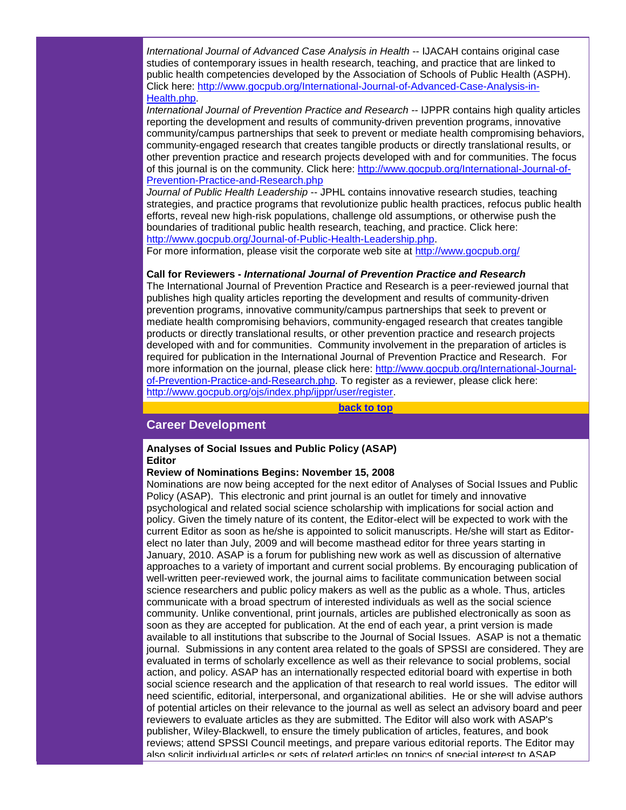*International Journal of Advanced Case Analysis in Health* -- IJACAH contains original case studies of contemporary issues in health research, teaching, and practice that are linked to public health competencies developed by the Association of Schools of Public Health (ASPH). Click here: [http://www.gocpub.org/International-Journal-of-Advanced-Case-Analysis-in-](http://rs6.net/tn.jsp?t=axdsdvcab.0.wilcgvcab.5gytkqcab.1&ts=S0383&p=http%3A%2F%2Fwww.gocpub.org%2FInternational-Journal-of-Advanced-Case-Analysis-in-Health.php)[Health.php.](http://rs6.net/tn.jsp?t=axdsdvcab.0.wilcgvcab.5gytkqcab.1&ts=S0383&p=http%3A%2F%2Fwww.gocpub.org%2FInternational-Journal-of-Advanced-Case-Analysis-in-Health.php)

*International Journal of Prevention Practice and Research --* IJPPR contains high quality articles reporting the development and results of community-driven prevention programs, innovative community/campus partnerships that seek to prevent or mediate health compromising behaviors, community-engaged research that creates tangible products or directly translational results, or other prevention practice and research projects developed with and for communities. The focus of this journal is on the community. Click here: [http://www.gocpub.org/International-Journal-of-](http://rs6.net/tn.jsp?t=axdsdvcab.0.xilcgvcab.5gytkqcab.1&ts=S0383&p=http%3A%2F%2Fwww.gocpub.org%2FInternational-Journal-of-Prevention-Practice-and-Research.php)[Prevention-Practice-and-Research.php](http://rs6.net/tn.jsp?t=axdsdvcab.0.xilcgvcab.5gytkqcab.1&ts=S0383&p=http%3A%2F%2Fwww.gocpub.org%2FInternational-Journal-of-Prevention-Practice-and-Research.php)

*Journal of Public Health Leadership* -- JPHL contains innovative research studies, teaching strategies, and practice programs that revolutionize public health practices, refocus public health efforts, reveal new high-risk populations, challenge old assumptions, or otherwise push the boundaries of traditional public health research, teaching, and practice. Click here: [http://www.gocpub.org/Journal-of-Public-Health-Leadership.php.](http://rs6.net/tn.jsp?t=axdsdvcab.0.yilcgvcab.5gytkqcab.1&ts=S0383&p=http%3A%2F%2Fwww.gocpub.org%2FJournal-of-Public-Health-Leadership.php)

For more information, please visit the corporate web site at [http://www.gocpub.org/](http://rs6.net/tn.jsp?t=axdsdvcab.0.zilcgvcab.5gytkqcab.1&ts=S0383&p=http%3A%2F%2Fwww.gocpub.org%2F)

#### **Call for Reviewers -** *International Journal of Prevention Practice and Research*

The International Journal of Prevention Practice and Research is a peer-reviewed journal that publishes high quality articles reporting the development and results of community-driven prevention programs, innovative community/campus partnerships that seek to prevent or mediate health compromising behaviors, community-engaged research that creates tangible products or directly translational results, or other prevention practice and research projects developed with and for communities. Community involvement in the preparation of articles is required for publication in the International Journal of Prevention Practice and Research. For more information on the journal, please click here: [http://www.gocpub.org/International-Journal](http://rs6.net/tn.jsp?t=axdsdvcab.0.xilcgvcab.5gytkqcab.1&ts=S0383&p=http%3A%2F%2Fwww.gocpub.org%2FInternational-Journal-of-Prevention-Practice-and-Research.php)[of-Prevention-Practice-and-Research.php.](http://rs6.net/tn.jsp?t=axdsdvcab.0.xilcgvcab.5gytkqcab.1&ts=S0383&p=http%3A%2F%2Fwww.gocpub.org%2FInternational-Journal-of-Prevention-Practice-and-Research.php) To register as a reviewer, please click here: [http://www.gocpub.org/ojs/index.php/ijppr/user/register.](http://rs6.net/tn.jsp?t=axdsdvcab.0.9ilcgvcab.5gytkqcab.1&ts=S0383&p=http%3A%2F%2Fwww.gocpub.org%2Fojs%2Findex.php%2Fijppr%2Fuser%2Fregister)

**[back to top](#page-0-2)**

# <span id="page-14-0"></span>**Career Development**

# **Analyses of Social Issues and Public Policy (ASAP) Editor**

# **Review of Nominations Begins: November 15, 2008**

Nominations are now being accepted for the next editor of Analyses of Social Issues and Public Policy (ASAP). This electronic and print journal is an outlet for timely and innovative psychological and related social science scholarship with implications for social action and policy. Given the timely nature of its content, the Editor-elect will be expected to work with the current Editor as soon as he/she is appointed to solicit manuscripts. He/she will start as Editorelect no later than July, 2009 and will become masthead editor for three years starting in January, 2010. ASAP is a forum for publishing new work as well as discussion of alternative approaches to a variety of important and current social problems. By encouraging publication of well-written peer-reviewed work, the journal aims to facilitate communication between social science researchers and public policy makers as well as the public as a whole. Thus, articles communicate with a broad spectrum of interested individuals as well as the social science community. Unlike conventional, print journals, articles are published electronically as soon as soon as they are accepted for publication. At the end of each year, a print version is made available to all institutions that subscribe to the Journal of Social Issues. ASAP is not a thematic journal. Submissions in any content area related to the goals of SPSSI are considered. They are evaluated in terms of scholarly excellence as well as their relevance to social problems, social action, and policy. ASAP has an internationally respected editorial board with expertise in both social science research and the application of that research to real world issues. The editor will need scientific, editorial, interpersonal, and organizational abilities. He or she will advise authors of potential articles on their relevance to the journal as well as select an advisory board and peer reviewers to evaluate articles as they are submitted. The Editor will also work with ASAP's publisher, Wiley-Blackwell, to ensure the timely publication of articles, features, and book reviews; attend SPSSI Council meetings, and prepare various editorial reports. The Editor may also solicit individual articles or sets of related articles on topics of special interest to ASAP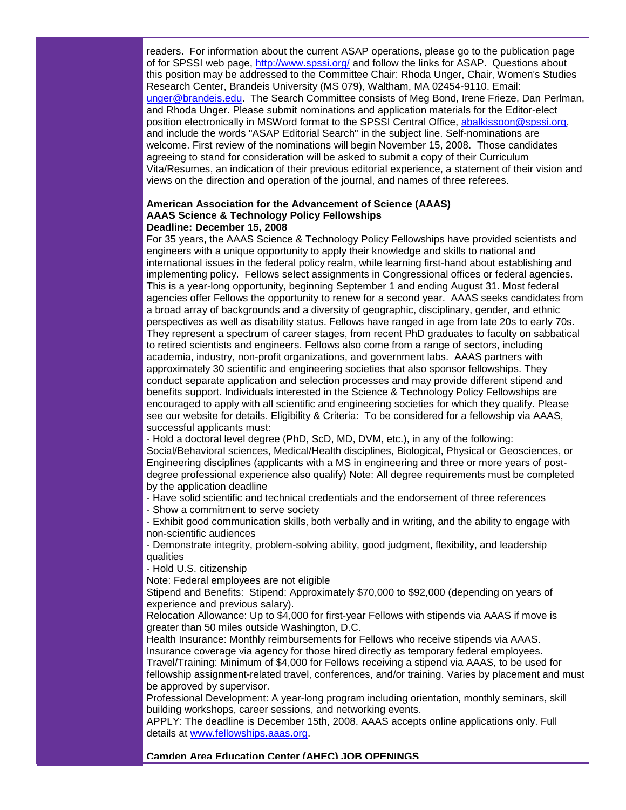readers. For information about the current ASAP operations, please go to the publication page of for SPSSI web page, [http://www.spssi.org/](http://rs6.net/tn.jsp?t=axdsdvcab.0.8ilcgvcab.5gytkqcab.1&ts=S0383&p=http%3A%2F%2Fwww.spssi.org%2F) and follow the links for ASAP. Questions about this position may be addressed to the Committee Chair: Rhoda Unger, Chair, Women's Studies Research Center, Brandeis University (MS 079), Waltham, MA 02454-9110. Email: [unger@brandeis.edu.](mailto:unger@brandeis.edu) The Search Committee consists of Meg Bond, Irene Frieze, Dan Perlman, and Rhoda Unger. Please submit nominations and application materials for the Editor-elect position electronically in MSWord format to the SPSSI Central Office, [abalkissoon@spssi.org,](mailto:abalkissoon@spssi.org)  and include the words "ASAP Editorial Search" in the subject line. Self-nominations are welcome. First review of the nominations will begin November 15, 2008. Those candidates agreeing to stand for consideration will be asked to submit a copy of their Curriculum Vita/Resumes, an indication of their previous editorial experience, a statement of their vision and views on the direction and operation of the journal, and names of three referees.

# **American Association for the Advancement of Science (AAAS) AAAS Science & Technology Policy Fellowships Deadline: December 15, 2008**

For 35 years, the AAAS Science & Technology Policy Fellowships have provided scientists and engineers with a unique opportunity to apply their knowledge and skills to national and international issues in the federal policy realm, while learning first-hand about establishing and implementing policy. Fellows select assignments in Congressional offices or federal agencies. This is a year-long opportunity, beginning September 1 and ending August 31. Most federal agencies offer Fellows the opportunity to renew for a second year. AAAS seeks candidates from a broad array of backgrounds and a diversity of geographic, disciplinary, gender, and ethnic perspectives as well as disability status. Fellows have ranged in age from late 20s to early 70s. They represent a spectrum of career stages, from recent PhD graduates to faculty on sabbatical to retired scientists and engineers. Fellows also come from a range of sectors, including academia, industry, non-profit organizations, and government labs. AAAS partners with approximately 30 scientific and engineering societies that also sponsor fellowships. They conduct separate application and selection processes and may provide different stipend and benefits support. Individuals interested in the Science & Technology Policy Fellowships are encouraged to apply with all scientific and engineering societies for which they qualify. Please see our website for details. Eligibility & Criteria: To be considered for a fellowship via AAAS, successful applicants must:

- Hold a doctoral level degree (PhD, ScD, MD, DVM, etc.), in any of the following: Social/Behavioral sciences, Medical/Health disciplines, Biological, Physical or Geosciences, or Engineering disciplines (applicants with a MS in engineering and three or more years of postdegree professional experience also qualify) Note: All degree requirements must be completed by the application deadline

- Have solid scientific and technical credentials and the endorsement of three references

- Show a commitment to serve society

- Exhibit good communication skills, both verbally and in writing, and the ability to engage with non-scientific audiences

- Demonstrate integrity, problem-solving ability, good judgment, flexibility, and leadership qualities

- Hold U.S. citizenship

Note: Federal employees are not eligible

Stipend and Benefits: Stipend: Approximately \$70,000 to \$92,000 (depending on years of experience and previous salary).

Relocation Allowance: Up to \$4,000 for first-year Fellows with stipends via AAAS if move is greater than 50 miles outside Washington, D.C.

Health Insurance: Monthly reimbursements for Fellows who receive stipends via AAAS. Insurance coverage via agency for those hired directly as temporary federal employees. Travel/Training: Minimum of \$4,000 for Fellows receiving a stipend via AAAS, to be used for fellowship assignment-related travel, conferences, and/or training. Varies by placement and must be approved by supervisor.

Professional Development: A year-long program including orientation, monthly seminars, skill building workshops, career sessions, and networking events.

APPLY: The deadline is December 15th, 2008. AAAS accepts online applications only. Full details at [www.fellowships.aaas.org.](http://rs6.net/tn.jsp?t=axdsdvcab.0.7ilcgvcab.5gytkqcab.1&ts=S0383&p=http%3A%2F%2Fwww.fellowships.aaas.org%2F)

**Camden Area Education Center (AHEC) JOB OPENINGS**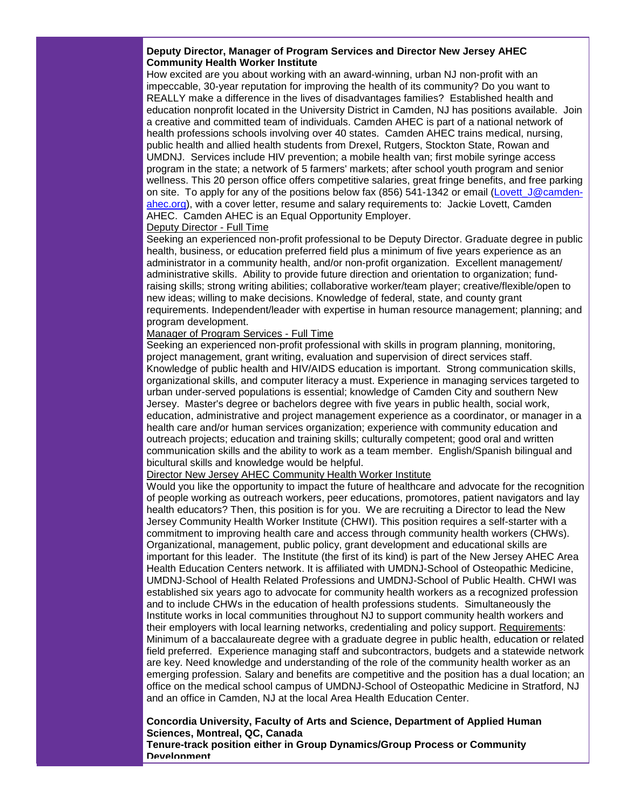# **Deputy Director, Manager of Program Services and Director New Jersey AHEC Community Health Worker Institute**

How excited are you about working with an award-winning, urban NJ non-profit with an impeccable, 30-year reputation for improving the health of its community? Do you want to REALLY make a difference in the lives of disadvantages families? Established health and education nonprofit located in the University District in Camden, NJ has positions available. Join a creative and committed team of individuals. Camden AHEC is part of a national network of health professions schools involving over 40 states. Camden AHEC trains medical, nursing, public health and allied health students from Drexel, Rutgers, Stockton State, Rowan and UMDNJ. Services include HIV prevention; a mobile health van; first mobile syringe access program in the state; a network of 5 farmers' markets; after school youth program and senior wellness. This 20 person office offers competitive salaries, great fringe benefits, and free parking on site. To apply for any of the positions below fax (856) 541-1342 or email (Lovett J@camden[ahec.org\)](mailto:Lovett_J@camden-ahec.org), with a cover letter, resume and salary requirements to: Jackie Lovett, Camden AHEC. Camden AHEC is an Equal Opportunity Employer.

# Deputy Director - Full Time

Seeking an experienced non-profit professional to be Deputy Director. Graduate degree in public health, business, or education preferred field plus a minimum of five years experience as an administrator in a community health, and/or non-profit organization. Excellent management/ administrative skills. Ability to provide future direction and orientation to organization; fundraising skills; strong writing abilities; collaborative worker/team player; creative/flexible/open to new ideas; willing to make decisions. Knowledge of federal, state, and county grant requirements. Independent/leader with expertise in human resource management; planning; and program development.

# Manager of Program Services - Full Time

Seeking an experienced non-profit professional with skills in program planning, monitoring, project management, grant writing, evaluation and supervision of direct services staff. Knowledge of public health and HIV/AIDS education is important. Strong communication skills, organizational skills, and computer literacy a must. Experience in managing services targeted to urban under-served populations is essential; knowledge of Camden City and southern New Jersey. Master's degree or bachelors degree with five years in public health, social work, education, administrative and project management experience as a coordinator, or manager in a health care and/or human services organization; experience with community education and outreach projects; education and training skills; culturally competent; good oral and written communication skills and the ability to work as a team member. English/Spanish bilingual and bicultural skills and knowledge would be helpful.

# Director New Jersey AHEC Community Health Worker Institute

Would you like the opportunity to impact the future of healthcare and advocate for the recognition of people working as outreach workers, peer educations, promotores, patient navigators and lay health educators? Then, this position is for you. We are recruiting a Director to lead the New Jersey Community Health Worker Institute (CHWI). This position requires a self-starter with a commitment to improving health care and access through community health workers (CHWs). Organizational, management, public policy, grant development and educational skills are important for this leader. The Institute (the first of its kind) is part of the New Jersey AHEC Area Health Education Centers network. It is affiliated with UMDNJ-School of Osteopathic Medicine, UMDNJ-School of Health Related Professions and UMDNJ-School of Public Health. CHWI was established six years ago to advocate for community health workers as a recognized profession and to include CHWs in the education of health professions students. Simultaneously the Institute works in local communities throughout NJ to support community health workers and their employers with local learning networks, credentialing and policy support. Requirements: Minimum of a baccalaureate degree with a graduate degree in public health, education or related field preferred. Experience managing staff and subcontractors, budgets and a statewide network are key. Need knowledge and understanding of the role of the community health worker as an emerging profession. Salary and benefits are competitive and the position has a dual location; an office on the medical school campus of UMDNJ-School of Osteopathic Medicine in Stratford, NJ and an office in Camden, NJ at the local Area Health Education Center.

# **Concordia University, Faculty of Arts and Science, Department of Applied Human Sciences, Montreal, QC, Canada**

**Tenure-track position either in Group Dynamics/Group Process or Community Development**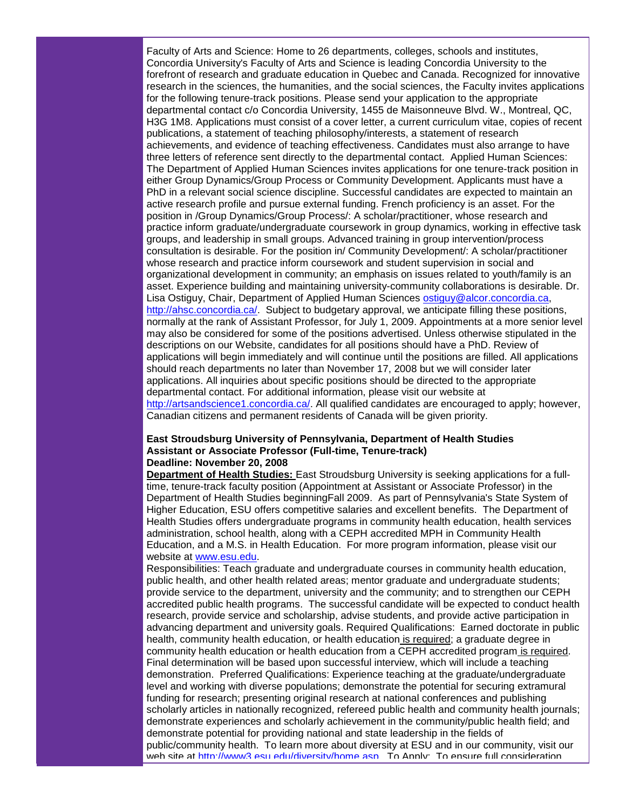Faculty of Arts and Science: Home to 26 departments, colleges, schools and institutes, Concordia University's Faculty of Arts and Science is leading Concordia University to the forefront of research and graduate education in Quebec and Canada. Recognized for innovative research in the sciences, the humanities, and the social sciences, the Faculty invites applications for the following tenure-track positions. Please send your application to the appropriate departmental contact c/o Concordia University, 1455 de Maisonneuve Blvd. W., Montreal, QC, H3G 1M8. Applications must consist of a cover letter, a current curriculum vitae, copies of recent publications, a statement of teaching philosophy/interests, a statement of research achievements, and evidence of teaching effectiveness. Candidates must also arrange to have three letters of reference sent directly to the departmental contact. Applied Human Sciences: The Department of Applied Human Sciences invites applications for one tenure-track position in either Group Dynamics/Group Process or Community Development. Applicants must have a PhD in a relevant social science discipline. Successful candidates are expected to maintain an active research profile and pursue external funding. French proficiency is an asset. For the position in /Group Dynamics/Group Process/: A scholar/practitioner, whose research and practice inform graduate/undergraduate coursework in group dynamics, working in effective task groups, and leadership in small groups. Advanced training in group intervention/process consultation is desirable. For the position in/ Community Development/: A scholar/practitioner whose research and practice inform coursework and student supervision in social and organizational development in community; an emphasis on issues related to youth/family is an asset. Experience building and maintaining university-community collaborations is desirable. Dr. Lisa Ostiguy, Chair, Department of Applied Human Sciences [ostiguy@alcor.concordia.ca,](mailto:ostiguy@alcor.concordia.ca) [http://ahsc.concordia.ca/.](http://rs6.net/tn.jsp?t=axdsdvcab.0.6ilcgvcab.5gytkqcab.1&ts=S0383&p=http%3A%2F%2Fahsc.concordia.ca%2F) Subject to budgetary approval, we anticipate filling these positions, normally at the rank of Assistant Professor, for July 1, 2009. Appointments at a more senior level may also be considered for some of the positions advertised. Unless otherwise stipulated in the descriptions on our Website, candidates for all positions should have a PhD. Review of applications will begin immediately and will continue until the positions are filled. All applications should reach departments no later than November 17, 2008 but we will consider later applications. All inquiries about specific positions should be directed to the appropriate departmental contact. For additional information, please visit our website at [http://artsandscience1.concordia.ca/.](http://rs6.net/tn.jsp?t=axdsdvcab.0.5ilcgvcab.5gytkqcab.1&ts=S0383&p=http%3A%2F%2Fartsandscience1.concordia.ca%2F) All qualified candidates are encouraged to apply; however, Canadian citizens and permanent residents of Canada will be given priority.

# **East Stroudsburg University of Pennsylvania, Department of Health Studies Assistant or Associate Professor (Full-time, Tenure-track) Deadline: November 20, 2008**

**Department of Health Studies:** East Stroudsburg University is seeking applications for a fulltime, tenure-track faculty position (Appointment at Assistant or Associate Professor) in the Department of Health Studies beginningFall 2009. As part of Pennsylvania's State System of Higher Education, ESU offers competitive salaries and excellent benefits. The Department of Health Studies offers undergraduate programs in community health education, health services administration, school health, along with a CEPH accredited MPH in Community Health Education, and a M.S. in Health Education. For more program information, please visit our website at [www.esu.edu.](http://rs6.net/tn.jsp?t=axdsdvcab.0.4ilcgvcab.5gytkqcab.1&ts=S0383&p=http%3A%2F%2Fwww.esu.edu%2F)

Responsibilities: Teach graduate and undergraduate courses in community health education, public health, and other health related areas; mentor graduate and undergraduate students; provide service to the department, university and the community; and to strengthen our CEPH accredited public health programs. The successful candidate will be expected to conduct health research, provide service and scholarship, advise students, and provide active participation in advancing department and university goals. Required Qualifications: Earned doctorate in public health, community health education, or health education is required; a graduate degree in community health education or health education from a CEPH accredited program is required. Final determination will be based upon successful interview, which will include a teaching demonstration. Preferred Qualifications: Experience teaching at the graduate/undergraduate level and working with diverse populations; demonstrate the potential for securing extramural funding for research; presenting original research at national conferences and publishing scholarly articles in nationally recognized, refereed public health and community health journals; demonstrate experiences and scholarly achievement in the community/public health field; and demonstrate potential for providing national and state leadership in the fields of public/community health. To learn more about diversity at ESU and in our community, visit our web site at [http://www3.esu.edu/diversity/home.asp.](http://rs6.net/tn.jsp?t=axdsdvcab.0.ajlcgvcab.5gytkqcab.1&ts=S0383&p=http%3A%2F%2Fwww3.esu.edu%2Fdiversity%2Fhome.asp) To Apply: To ensure full consideration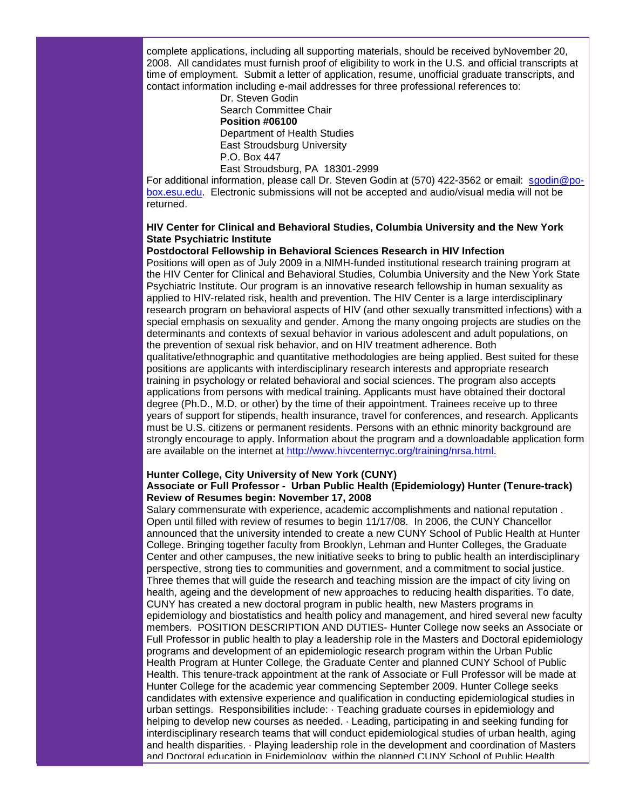complete applications, including all supporting materials, should be received byNovember 20, 2008. All candidates must furnish proof of eligibility to work in the U.S. and official transcripts at time of employment. Submit a letter of application, resume, unofficial graduate transcripts, and contact information including e-mail addresses for three professional references to:

> Dr. Steven Godin Search Committee Chair **Position #06100** Department of Health Studies East Stroudsburg University P.O. Box 447

East Stroudsburg, PA 18301-2999 For additional information, please call Dr. Steven Godin at (570) 422-3562 or email: [sgodin@po](mailto:sgodin@po-box.esu.edu)[box.esu.edu.](mailto:sgodin@po-box.esu.edu) Electronic submissions will not be accepted and audio/visual media will not be returned.

# **HIV Center for Clinical and Behavioral Studies, Columbia University and the New York State Psychiatric Institute**

# **Postdoctoral Fellowship in Behavioral Sciences Research in HIV Infection**

Positions will open as of July 2009 in a NIMH-funded institutional research training program at the HIV Center for Clinical and Behavioral Studies, Columbia University and the New York State Psychiatric Institute. Our program is an innovative research fellowship in human sexuality as applied to HIV-related risk, health and prevention. The HIV Center is a large interdisciplinary research program on behavioral aspects of HIV (and other sexually transmitted infections) with a special emphasis on sexuality and gender. Among the many ongoing projects are studies on the determinants and contexts of sexual behavior in various adolescent and adult populations, on the prevention of sexual risk behavior, and on HIV treatment adherence. Both qualitative/ethnographic and quantitative methodologies are being applied. Best suited for these positions are applicants with interdisciplinary research interests and appropriate research training in psychology or related behavioral and social sciences. The program also accepts applications from persons with medical training. Applicants must have obtained their doctoral degree (Ph.D., M.D. or other) by the time of their appointment. Trainees receive up to three years of support for stipends, health insurance, travel for conferences, and research. Applicants must be U.S. citizens or permanent residents. Persons with an ethnic minority background are strongly encourage to apply. Information about the program and a downloadable application form are available on the internet at [http://www.hivcenternyc.org/training/nrsa.html.](http://rs6.net/tn.jsp?t=axdsdvcab.0.bjlcgvcab.5gytkqcab.1&ts=S0383&p=http%3A%2F%2Fwww.hivcenternyc.org%2Ftraining%2Fnrsa.html.)

# **Hunter College, City University of New York (CUNY)**

# **Associate or Full Professor - Urban Public Health (Epidemiology) Hunter (Tenure-track) Review of Resumes begin: November 17, 2008**

Salary commensurate with experience, academic accomplishments and national reputation . Open until filled with review of resumes to begin 11/17/08. In 2006, the CUNY Chancellor announced that the university intended to create a new CUNY School of Public Health at Hunter College. Bringing together faculty from Brooklyn, Lehman and Hunter Colleges, the Graduate Center and other campuses, the new initiative seeks to bring to public health an interdisciplinary perspective, strong ties to communities and government, and a commitment to social justice. Three themes that will guide the research and teaching mission are the impact of city living on health, ageing and the development of new approaches to reducing health disparities. To date, CUNY has created a new doctoral program in public health, new Masters programs in epidemiology and biostatistics and health policy and management, and hired several new faculty members. POSITION DESCRIPTION AND DUTIES- Hunter College now seeks an Associate or Full Professor in public health to play a leadership role in the Masters and Doctoral epidemiology programs and development of an epidemiologic research program within the Urban Public Health Program at Hunter College, the Graduate Center and planned CUNY School of Public Health. This tenure-track appointment at the rank of Associate or Full Professor will be made at Hunter College for the academic year commencing September 2009. Hunter College seeks candidates with extensive experience and qualification in conducting epidemiological studies in urban settings. Responsibilities include: · Teaching graduate courses in epidemiology and helping to develop new courses as needed. · Leading, participating in and seeking funding for interdisciplinary research teams that will conduct epidemiological studies of urban health, aging and health disparities. · Playing leadership role in the development and coordination of Masters and Doctoral education in Epidemiology, within the planned CUNY School of Public Health.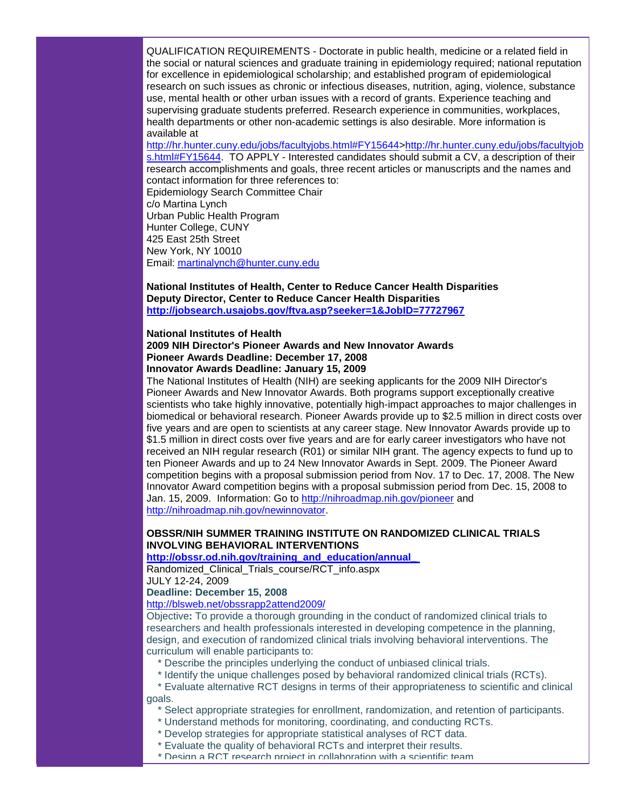QUALIFICATION REQUIREMENTS - Doctorate in public health, medicine or a related field in the social or natural sciences and graduate training in epidemiology required; national reputation for excellence in epidemiological scholarship; and established program of epidemiological research on such issues as chronic or infectious diseases, nutrition, aging, violence, substance use, mental health or other urban issues with a record of grants. Experience teaching and supervising graduate students preferred. Research experience in communities, workplaces, health departments or other non-academic settings is also desirable. More information is available at

[http://hr.hunter.cuny.edu/jobs/facultyjobs.html#FY15644>http://hr.hunter.cuny.edu/jobs/facultyjob](http://rs6.net/tn.jsp?t=axdsdvcab.0.cjlcgvcab.5gytkqcab.1&ts=S0383&p=http%3A%2F%2Fhr.hunter.cuny.edu%2Fjobs%2Ffacultyjobs.html%23FY15644) [s.html#FY15644.](http://rs6.net/tn.jsp?t=axdsdvcab.0.cjlcgvcab.5gytkqcab.1&ts=S0383&p=http%3A%2F%2Fhr.hunter.cuny.edu%2Fjobs%2Ffacultyjobs.html%23FY15644) TO APPLY - Interested candidates should submit a CV, a description of their research accomplishments and goals, three recent articles or manuscripts and the names and

contact information for three references to: Epidemiology Search Committee Chair c/o Martina Lynch Urban Public Health Program Hunter College, CUNY 425 East 25th Street New York, NY 10010 Email: [martinalynch@hunter.cuny.edu](mailto:martinalynch@hunter.cuny.edu)

**National Institutes of Health, Center to Reduce Cancer Health Disparities Deputy Director, Center to Reduce Cancer Health Disparities [http://jobsearch.usajobs.gov/ftva.asp?seeker=1&JobID=77727967](http://rs6.net/tn.jsp?t=axdsdvcab.0.djlcgvcab.5gytkqcab.1&ts=S0383&p=http%3A%2F%2Fjobsearch.usajobs.gov%2Fftva.asp%3Fseeker%3D1%26JobID%3D77727967)** 

# **National Institutes of Health 2009 NIH Director's Pioneer Awards and New Innovator Awards Pioneer Awards Deadline: December 17, 2008 Innovator Awards Deadline: January 15, 2009**

The National Institutes of Health (NIH) are seeking applicants for the 2009 NIH Director's Pioneer Awards and New Innovator Awards. Both programs support exceptionally creative scientists who take highly innovative, potentially high-impact approaches to major challenges in biomedical or behavioral research. Pioneer Awards provide up to \$2.5 million in direct costs over five years and are open to scientists at any career stage. New Innovator Awards provide up to \$1.5 million in direct costs over five years and are for early career investigators who have not received an NIH regular research (R01) or similar NIH grant. The agency expects to fund up to ten Pioneer Awards and up to 24 New Innovator Awards in Sept. 2009. The Pioneer Award competition begins with a proposal submission period from Nov. 17 to Dec. 17, 2008. The New Innovator Award competition begins with a proposal submission period from Dec. 15, 2008 to Jan. 15, 2009. Information: Go to [http://nihroadmap.nih.gov/pioneer](http://rs6.net/tn.jsp?t=axdsdvcab.0.ejlcgvcab.5gytkqcab.1&ts=S0383&p=http%3A%2F%2Fnihroadmap.nih.gov%2Fpioneer) and [http://nihroadmap.nih.gov/newinnovator.](http://rs6.net/tn.jsp?t=axdsdvcab.0.fjlcgvcab.5gytkqcab.1&ts=S0383&p=http%3A%2F%2Fnihroadmap.nih.gov%2Fnewinnovator)

# **OBSSR/NIH SUMMER TRAINING INSTITUTE ON RANDOMIZED CLINICAL TRIALS INVOLVING BEHAVIORAL INTERVENTIONS**

**[http://obssr.od.nih.gov/training\\_and\\_education/annual\\_](http://rs6.net/tn.jsp?t=axdsdvcab.0.gjlcgvcab.5gytkqcab.1&ts=S0383&p=http%3A%2F%2Fobssr.od.nih.gov%2Ftraining_and_education%2Fannual_%C2%A0Randomized_Clinical_Trials_course%2FRCT_info.aspx)**

Randomized\_Clinical\_Trials\_course/RCT\_info.aspx

JULY 12-24, 2009

# **Deadline: December 15, 2008**

# [http://blsweb.net/obssrapp2attend2009/](http://rs6.net/tn.jsp?t=axdsdvcab.0.hjlcgvcab.5gytkqcab.1&ts=S0383&p=http%3A%2F%2Fblsweb.net%2Fobssrapp2attend2009%2F)

Objective**:** To provide a thorough grounding in the conduct of randomized clinical trials to researchers and health professionals interested in developing competence in the planning, design, and execution of randomized clinical trials involving behavioral interventions. The curriculum will enable participants to:

- \* Describe the principles underlying the conduct of unbiased clinical trials.
- \* Identify the unique challenges posed by behavioral randomized clinical trials (RCTs).
- \* Evaluate alternative RCT designs in terms of their appropriateness to scientific and clinical goals.
	- \* Select appropriate strategies for enrollment, randomization, and retention of participants.
	- \* Understand methods for monitoring, coordinating, and conducting RCTs.
	- \* Develop strategies for appropriate statistical analyses of RCT data.
	- \* Evaluate the quality of behavioral RCTs and interpret their results.
	- \* Design a RCT research project in collaboration with a scientific team.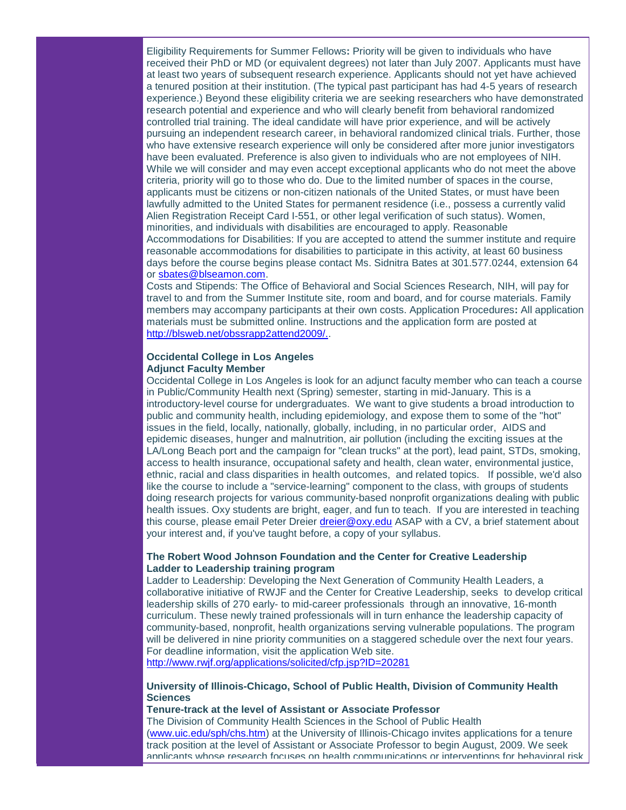Eligibility Requirements for Summer Fellows**:** Priority will be given to individuals who have received their PhD or MD (or equivalent degrees) not later than July 2007. Applicants must have at least two years of subsequent research experience. Applicants should not yet have achieved a tenured position at their institution. (The typical past participant has had 4-5 years of research experience.) Beyond these eligibility criteria we are seeking researchers who have demonstrated research potential and experience and who will clearly benefit from behavioral randomized controlled trial training. The ideal candidate will have prior experience, and will be actively pursuing an independent research career, in behavioral randomized clinical trials. Further, those who have extensive research experience will only be considered after more junior investigators have been evaluated. Preference is also given to individuals who are not employees of NIH. While we will consider and may even accept exceptional applicants who do not meet the above criteria, priority will go to those who do. Due to the limited number of spaces in the course, applicants must be citizens or non-citizen nationals of the United States, or must have been lawfully admitted to the United States for permanent residence (i.e., possess a currently valid Alien Registration Receipt Card I-551, or other legal verification of such status). Women, minorities, and individuals with disabilities are encouraged to apply. Reasonable Accommodations for Disabilities: If you are accepted to attend the summer institute and require reasonable accommodations for disabilities to participate in this activity, at least 60 business days before the course begins please contact Ms. Sidnitra Bates at 301.577.0244, extension 64 or [sbates@blseamon.com.](mailto:sbates@blseamon.com)

Costs and Stipends: The Office of Behavioral and Social Sciences Research, NIH, will pay for travel to and from the Summer Institute site, room and board, and for course materials. Family members may accompany participants at their own costs. Application Procedures**:** All application materials must be submitted online. Instructions and the application form are posted at [http://blsweb.net/obssrapp2attend2009/..](http://rs6.net/tn.jsp?t=axdsdvcab.0.hjlcgvcab.5gytkqcab.1&ts=S0383&p=http%3A%2F%2Fblsweb.net%2Fobssrapp2attend2009%2F)

# **Occidental College in Los Angeles Adjunct Faculty Member**

Occidental College in Los Angeles is look for an adjunct faculty member who can teach a course in Public/Community Health next (Spring) semester, starting in mid-January. This is a introductory-level course for undergraduates. We want to give students a broad introduction to public and community health, including epidemiology, and expose them to some of the "hot" issues in the field, locally, nationally, globally, including, in no particular order, AIDS and epidemic diseases, hunger and malnutrition, air pollution (including the exciting issues at the LA/Long Beach port and the campaign for "clean trucks" at the port), lead paint, STDs, smoking, access to health insurance, occupational safety and health, clean water, environmental justice, ethnic, racial and class disparities in health outcomes, and related topics. If possible, we'd also like the course to include a "service-learning" component to the class, with groups of students doing research projects for various community-based nonprofit organizations dealing with public health issues. Oxy students are bright, eager, and fun to teach. If you are interested in teaching this course, please email Peter Dreier [dreier@oxy.edu](mailto:dreier@oxy.edu) ASAP with a CV, a brief statement about your interest and, if you've taught before, a copy of your syllabus.

# **The Robert Wood Johnson Foundation and the Center for Creative Leadership Ladder to Leadership training program**

Ladder to Leadership: Developing the Next Generation of Community Health Leaders, a collaborative initiative of RWJF and the Center for Creative Leadership, seeks to develop critical leadership skills of 270 early- to mid-career professionals through an innovative, 16-month curriculum. These newly trained professionals will in turn enhance the leadership capacity of community-based, nonprofit, health organizations serving vulnerable populations. The program will be delivered in nine priority communities on a staggered schedule over the next four years. For deadline information, visit the application Web site.

[http://www.rwjf.org/applications/solicited/cfp.jsp?ID=20281](http://rs6.net/tn.jsp?t=axdsdvcab.0.ijlcgvcab.5gytkqcab.1&ts=S0383&p=http%3A%2F%2Fwww.rwjf.org%2Fapplications%2Fsolicited%2Fcfp.jsp%3FID%3D20281)

# **University of Illinois-Chicago, School of Public Health, Division of Community Health Sciences**

**Tenure-track at the level of Assistant or Associate Professor**

The Division of Community Health Sciences in the School of Public Health [\(www.uic.edu/sph/chs.htm\)](http://ui.constantcontact.com/visualeditor/www.uic.edu/sph/chs.htm) at the University of Illinois-Chicago invites applications for a tenure track position at the level of Assistant or Associate Professor to begin August, 2009. We seek applicants whose research focuses on health communications or interventions for behavioral risk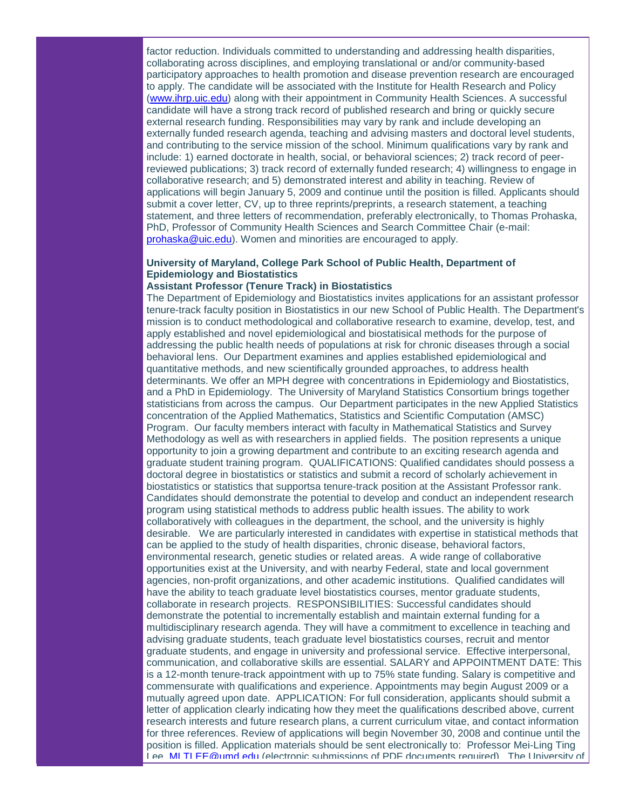factor reduction. Individuals committed to understanding and addressing health disparities, collaborating across disciplines, and employing translational or and/or community-based participatory approaches to health promotion and disease prevention research are encouraged to apply. The candidate will be associated with the Institute for Health Research and Policy [\(www.ihrp.uic.edu\)](http://ui.constantcontact.com/visualeditor/www.ihrp.uic.edu) along with their appointment in Community Health Sciences. A successful candidate will have a strong track record of published research and bring or quickly secure external research funding. Responsibilities may vary by rank and include developing an externally funded research agenda, teaching and advising masters and doctoral level students, and contributing to the service mission of the school. Minimum qualifications vary by rank and include: 1) earned doctorate in health, social, or behavioral sciences; 2) track record of peerreviewed publications; 3) track record of externally funded research; 4) willingness to engage in collaborative research; and 5) demonstrated interest and ability in teaching. Review of applications will begin January 5, 2009 and continue until the position is filled. Applicants should submit a cover letter, CV, up to three reprints/preprints, a research statement, a teaching statement, and three letters of recommendation, preferably electronically, to Thomas Prohaska, PhD, Professor of Community Health Sciences and Search Committee Chair (e-mail: [prohaska@uic.edu\)](mailto:prohaska@uic.edu). Women and minorities are encouraged to apply.

# **University of Maryland, College Park School of Public Health, Department of Epidemiology and Biostatistics**

# **Assistant Professor (Tenure Track) in Biostatistics**

The Department of Epidemiology and Biostatistics invites applications for an assistant professor tenure-track faculty position in Biostatistics in our new School of Public Health. The Department's mission is to conduct methodological and collaborative research to examine, develop, test, and apply established and novel epidemiological and biostatisical methods for the purpose of addressing the public health needs of populations at risk for chronic diseases through a social behavioral lens. Our Department examines and applies established epidemiological and quantitative methods, and new scientifically grounded approaches, to address health determinants. We offer an MPH degree with concentrations in Epidemiology and Biostatistics, and a PhD in Epidemiology. The University of Maryland Statistics Consortium brings together statisticians from across the campus. Our Department participates in the new Applied Statistics concentration of the Applied Mathematics, Statistics and Scientific Computation (AMSC) Program. Our faculty members interact with faculty in Mathematical Statistics and Survey Methodology as well as with researchers in applied fields. The position represents a unique opportunity to join a growing department and contribute to an exciting research agenda and graduate student training program. QUALIFICATIONS: Qualified candidates should possess a doctoral degree in biostatistics or statistics and submit a record of scholarly achievement in biostatistics or statistics that supportsa tenure-track position at the Assistant Professor rank. Candidates should demonstrate the potential to develop and conduct an independent research program using statistical methods to address public health issues. The ability to work collaboratively with colleagues in the department, the school, and the university is highly desirable. We are particularly interested in candidates with expertise in statistical methods that can be applied to the study of health disparities, chronic disease, behavioral factors, environmental research, genetic studies or related areas. A wide range of collaborative opportunities exist at the University, and with nearby Federal, state and local government agencies, non-profit organizations, and other academic institutions. Qualified candidates will have the ability to teach graduate level biostatistics courses, mentor graduate students, collaborate in research projects. RESPONSIBILITIES: Successful candidates should demonstrate the potential to incrementally establish and maintain external funding for a multidisciplinary research agenda. They will have a commitment to excellence in teaching and advising graduate students, teach graduate level biostatistics courses, recruit and mentor graduate students, and engage in university and professional service. Effective interpersonal, communication, and collaborative skills are essential. SALARY and APPOINTMENT DATE: This is a 12-month tenure-track appointment with up to 75% state funding. Salary is competitive and commensurate with qualifications and experience. Appointments may begin August 2009 or a mutually agreed upon date. APPLICATION: For full consideration, applicants should submit a letter of application clearly indicating how they meet the qualifications described above, current research interests and future research plans, a current curriculum vitae, and contact information for three references. Review of applications will begin November 30, 2008 and continue until the position is filled. Application materials should be sent electronically to: Professor Mei-Ling Ting Lee, [MLTLEE@umd.edu](mailto:MLTLEE@umd.edu) (electronic submissions of PDF documents required). The University of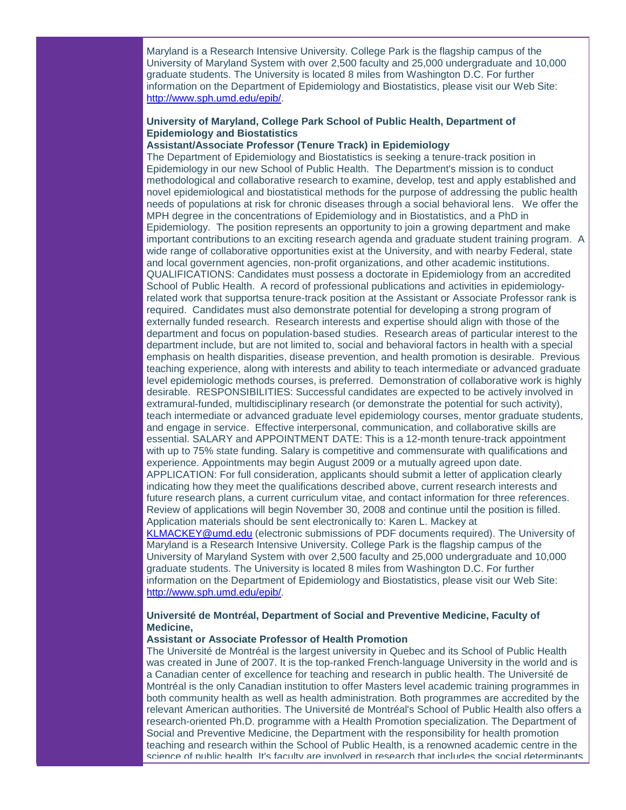Maryland is a Research Intensive University. College Park is the flagship campus of the University of Maryland System with over 2,500 faculty and 25,000 undergraduate and 10,000 graduate students. The University is located 8 miles from Washington D.C. For further information on the Department of Epidemiology and Biostatistics, please visit our Web Site: [http://www.sph.umd.edu/epib/.](http://rs6.net/tn.jsp?t=axdsdvcab.0.yluzrtcab.5gytkqcab.1&ts=S0383&p=http%3A%2F%2Fwww.sph.umd.edu%2Fepib%2F)

# **University of Maryland, College Park School of Public Health, Department of Epidemiology and Biostatistics**

# **Assistant/Associate Professor (Tenure Track) in Epidemiology**

The Department of Epidemiology and Biostatistics is seeking a tenure-track position in Epidemiology in our new School of Public Health. The Department's mission is to conduct methodological and collaborative research to examine, develop, test and apply established and novel epidemiological and biostatistical methods for the purpose of addressing the public health needs of populations at risk for chronic diseases through a social behavioral lens. We offer the MPH degree in the concentrations of Epidemiology and in Biostatistics, and a PhD in Epidemiology. The position represents an opportunity to join a growing department and make important contributions to an exciting research agenda and graduate student training program. A wide range of collaborative opportunities exist at the University, and with nearby Federal, state and local government agencies, non-profit organizations, and other academic institutions. QUALIFICATIONS: Candidates must possess a doctorate in Epidemiology from an accredited School of Public Health. A record of professional publications and activities in epidemiologyrelated work that supportsa tenure-track position at the Assistant or Associate Professor rank is required. Candidates must also demonstrate potential for developing a strong program of externally funded research. Research interests and expertise should align with those of the department and focus on population-based studies. Research areas of particular interest to the department include, but are not limited to, social and behavioral factors in health with a special emphasis on health disparities, disease prevention, and health promotion is desirable. Previous teaching experience, along with interests and ability to teach intermediate or advanced graduate level epidemiologic methods courses, is preferred. Demonstration of collaborative work is highly desirable. RESPONSIBILITIES: Successful candidates are expected to be actively involved in extramural-funded, multidisciplinary research (or demonstrate the potential for such activity), teach intermediate or advanced graduate level epidemiology courses, mentor graduate students, and engage in service. Effective interpersonal, communication, and collaborative skills are essential. SALARY and APPOINTMENT DATE: This is a 12-month tenure-track appointment with up to 75% state funding. Salary is competitive and commensurate with qualifications and experience. Appointments may begin August 2009 or a mutually agreed upon date. APPLICATION: For full consideration, applicants should submit a letter of application clearly indicating how they meet the qualifications described above, current research interests and future research plans, a current curriculum vitae, and contact information for three references. Review of applications will begin November 30, 2008 and continue until the position is filled. Application materials should be sent electronically to: Karen L. Mackey at [KLMACKEY@umd.edu](mailto:KLMACKEY@umd.edu) (electronic submissions of PDF documents required). The University of

Maryland is a Research Intensive University. College Park is the flagship campus of the University of Maryland System with over 2,500 faculty and 25,000 undergraduate and 10,000 graduate students. The University is located 8 miles from Washington D.C. For further information on the Department of Epidemiology and Biostatistics, please visit our Web Site: [http://www.sph.umd.edu/epib/.](http://rs6.net/tn.jsp?t=axdsdvcab.0.yluzrtcab.5gytkqcab.1&ts=S0383&p=http%3A%2F%2Fwww.sph.umd.edu%2Fepib%2F)

# **Université de Montréal, Department of Social and Preventive Medicine, Faculty of Medicine,**

# **Assistant or Associate Professor of Health Promotion**

The Université de Montréal is the largest university in Quebec and its School of Public Health was created in June of 2007. It is the top-ranked French-language University in the world and is a Canadian center of excellence for teaching and research in public health. The Université de Montréal is the only Canadian institution to offer Masters level academic training programmes in both community health as well as health administration. Both programmes are accredited by the relevant American authorities. The Université de Montréal's School of Public Health also offers a research-oriented Ph.D. programme with a Health Promotion specialization. The Department of Social and Preventive Medicine, the Department with the responsibility for health promotion teaching and research within the School of Public Health, is a renowned academic centre in the science of public health. It's faculty are involved in research that includes the social determinants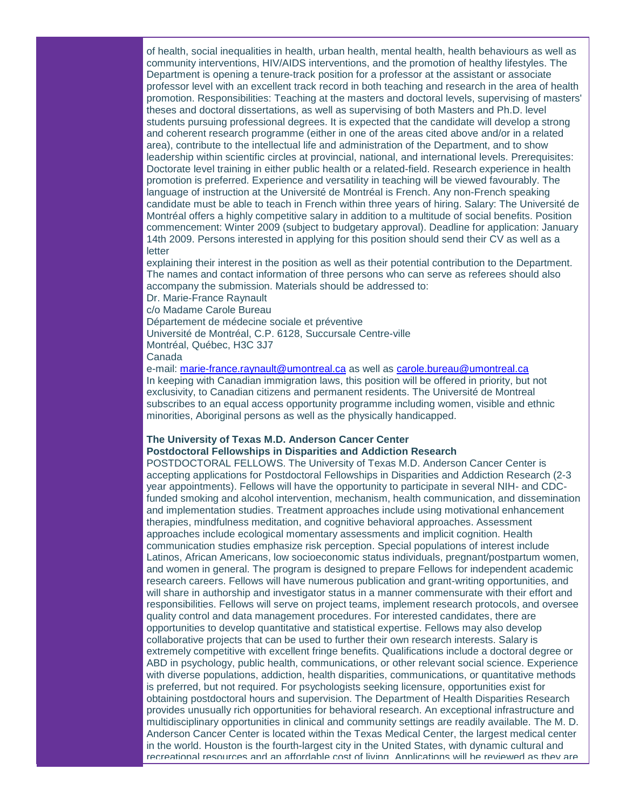of health, social inequalities in health, urban health, mental health, health behaviours as well as community interventions, HIV/AIDS interventions, and the promotion of healthy lifestyles. The Department is opening a tenure-track position for a professor at the assistant or associate professor level with an excellent track record in both teaching and research in the area of health promotion. Responsibilities: Teaching at the masters and doctoral levels, supervising of masters' theses and doctoral dissertations, as well as supervising of both Masters and Ph.D. level students pursuing professional degrees. It is expected that the candidate will develop a strong and coherent research programme (either in one of the areas cited above and/or in a related area), contribute to the intellectual life and administration of the Department, and to show leadership within scientific circles at provincial, national, and international levels. Prerequisites: Doctorate level training in either public health or a related-field. Research experience in health promotion is preferred. Experience and versatility in teaching will be viewed favourably. The language of instruction at the Université de Montréal is French. Any non-French speaking candidate must be able to teach in French within three years of hiring. Salary: The Université de Montréal offers a highly competitive salary in addition to a multitude of social benefits. Position commencement: Winter 2009 (subject to budgetary approval). Deadline for application: January 14th 2009. Persons interested in applying for this position should send their CV as well as a letter

explaining their interest in the position as well as their potential contribution to the Department. The names and contact information of three persons who can serve as referees should also accompany the submission. Materials should be addressed to:

Dr. Marie-France Raynault

c/o Madame Carole Bureau

Département de médecine sociale et préventive

Université de Montréal, C.P. 6128, Succursale Centre-ville

Montréal, Québec, H3C 3J7

Canada

e-mail: [marie-france.raynault@umontreal.ca](mailto:marie-france.raynault@umontreal.ca) as well as [carole.bureau@umontreal.ca](mailto:carole.bureau@umontreal.ca) In keeping with Canadian immigration laws, this position will be offered in priority, but not exclusivity, to Canadian citizens and permanent residents. The Université de Montreal subscribes to an equal access opportunity programme including women, visible and ethnic minorities, Aboriginal persons as well as the physically handicapped.

#### **The University of Texas M.D. Anderson Cancer Center Postdoctoral Fellowships in Disparities and Addiction Research**

POSTDOCTORAL FELLOWS. The University of Texas M.D. Anderson Cancer Center is accepting applications for Postdoctoral Fellowships in Disparities and Addiction Research (2-3 year appointments). Fellows will have the opportunity to participate in several NIH- and CDCfunded smoking and alcohol intervention, mechanism, health communication, and dissemination and implementation studies. Treatment approaches include using motivational enhancement therapies, mindfulness meditation, and cognitive behavioral approaches. Assessment approaches include ecological momentary assessments and implicit cognition. Health communication studies emphasize risk perception. Special populations of interest include Latinos, African Americans, low socioeconomic status individuals, pregnant/postpartum women, and women in general. The program is designed to prepare Fellows for independent academic research careers. Fellows will have numerous publication and grant-writing opportunities, and will share in authorship and investigator status in a manner commensurate with their effort and responsibilities. Fellows will serve on project teams, implement research protocols, and oversee quality control and data management procedures. For interested candidates, there are opportunities to develop quantitative and statistical expertise. Fellows may also develop collaborative projects that can be used to further their own research interests. Salary is extremely competitive with excellent fringe benefits. Qualifications include a doctoral degree or ABD in psychology, public health, communications, or other relevant social science. Experience with diverse populations, addiction, health disparities, communications, or quantitative methods is preferred, but not required. For psychologists seeking licensure, opportunities exist for obtaining postdoctoral hours and supervision. The Department of Health Disparities Research provides unusually rich opportunities for behavioral research. An exceptional infrastructure and multidisciplinary opportunities in clinical and community settings are readily available. The M. D. Anderson Cancer Center is located within the Texas Medical Center, the largest medical center in the world. Houston is the fourth-largest city in the United States, with dynamic cultural and recreational resources and an affordable cost of living. Applications will be reviewed as they are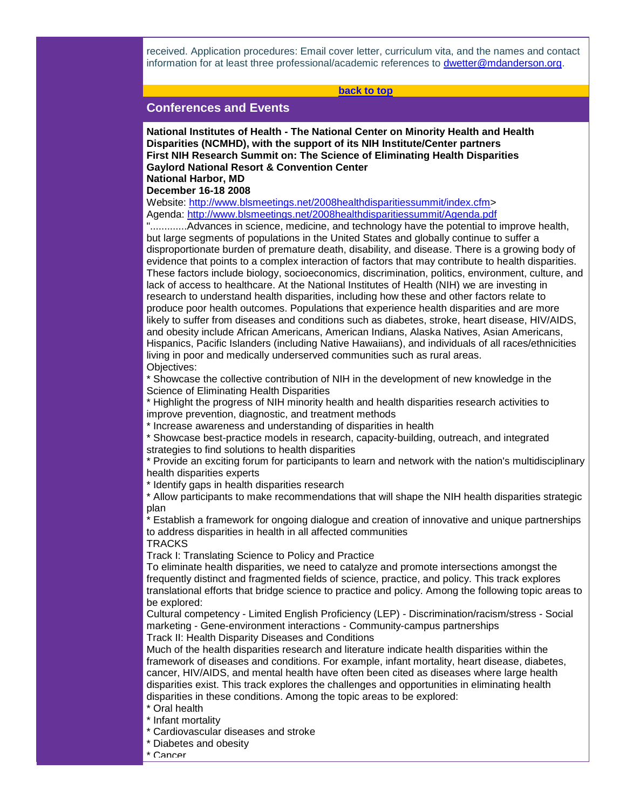received. Application procedures: Email cover letter, curriculum vita, and the names and contact information for at least three professional/academic references to [dwetter@mdanderson.org.](mailto:dwetter@mdanderson.org)

#### **[back to top](#page-0-2)**

# <span id="page-24-0"></span>**Conferences and Events**

**National Institutes of Health - The National Center on Minority Health and Health Disparities (NCMHD), with the support of its NIH Institute/Center partners First NIH Research Summit on: The Science of Eliminating Health Disparities Gaylord National Resort & Convention Center National Harbor, MD** 

#### **December 16-18 2008**

Website: [http://www.blsmeetings.net/2008healthdisparitiessummit/index.cfm>](http://rs6.net/tn.jsp?t=axdsdvcab.0.jjlcgvcab.5gytkqcab.1&ts=S0383&p=http%3A%2F%2Fwww.blsmeetings.net%2F2008healthdisparitiessummit%2Findex.cfm) Agenda: [http://www.blsmeetings.net/2008healthdisparitiessummit/Agenda.pdf](http://rs6.net/tn.jsp?t=axdsdvcab.0.kjlcgvcab.5gytkqcab.1&ts=S0383&p=http%3A%2F%2Fwww.blsmeetings.net%2F2008healthdisparitiessummit%2FAgenda.pdf)

".............Advances in science, medicine, and technology have the potential to improve health, but large segments of populations in the United States and globally continue to suffer a disproportionate burden of premature death, disability, and disease. There is a growing body of evidence that points to a complex interaction of factors that may contribute to health disparities. These factors include biology, socioeconomics, discrimination, politics, environment, culture, and lack of access to healthcare. At the National Institutes of Health (NIH) we are investing in research to understand health disparities, including how these and other factors relate to produce poor health outcomes. Populations that experience health disparities and are more likely to suffer from diseases and conditions such as diabetes, stroke, heart disease, HIV/AIDS, and obesity include African Americans, American Indians, Alaska Natives, Asian Americans, Hispanics, Pacific Islanders (including Native Hawaiians), and individuals of all races/ethnicities living in poor and medically underserved communities such as rural areas. Objectives:

\* Showcase the collective contribution of NIH in the development of new knowledge in the Science of Eliminating Health Disparities

\* Highlight the progress of NIH minority health and health disparities research activities to improve prevention, diagnostic, and treatment methods

\* Increase awareness and understanding of disparities in health

\* Showcase best-practice models in research, capacity-building, outreach, and integrated strategies to find solutions to health disparities

\* Provide an exciting forum for participants to learn and network with the nation's multidisciplinary health disparities experts

\* Identify gaps in health disparities research

\* Allow participants to make recommendations that will shape the NIH health disparities strategic plan

\* Establish a framework for ongoing dialogue and creation of innovative and unique partnerships to address disparities in health in all affected communities **TRACKS** 

Track I: Translating Science to Policy and Practice

To eliminate health disparities, we need to catalyze and promote intersections amongst the frequently distinct and fragmented fields of science, practice, and policy. This track explores translational efforts that bridge science to practice and policy. Among the following topic areas to be explored:

Cultural competency - Limited English Proficiency (LEP) - Discrimination/racism/stress - Social marketing - Gene-environment interactions - Community-campus partnerships Track II: Health Disparity Diseases and Conditions

Much of the health disparities research and literature indicate health disparities within the framework of diseases and conditions. For example, infant mortality, heart disease, diabetes, cancer, HIV/AIDS, and mental health have often been cited as diseases where large health disparities exist. This track explores the challenges and opportunities in eliminating health

disparities in these conditions. Among the topic areas to be explored:

- \* Oral health
- \* Infant mortality
- \* Cardiovascular diseases and stroke
- \* Diabetes and obesity
- \* Cancer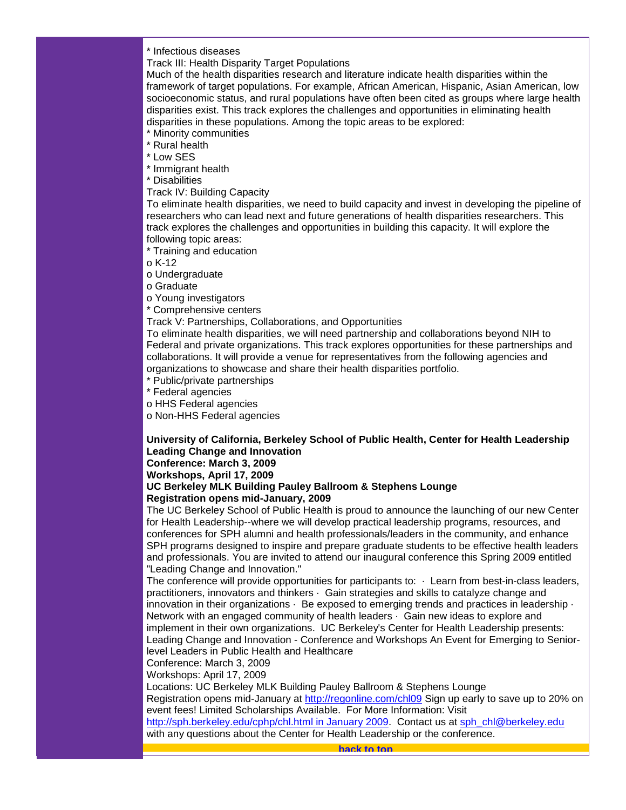\* Infectious diseases

Track III: Health Disparity Target Populations

Much of the health disparities research and literature indicate health disparities within the framework of target populations. For example, African American, Hispanic, Asian American, low socioeconomic status, and rural populations have often been cited as groups where large health disparities exist. This track explores the challenges and opportunities in eliminating health disparities in these populations. Among the topic areas to be explored:

\* Minority communities

\* Rural health

\* Low SES

\* Immigrant health

\* Disabilities

Track IV: Building Capacity

To eliminate health disparities, we need to build capacity and invest in developing the pipeline of researchers who can lead next and future generations of health disparities researchers. This track explores the challenges and opportunities in building this capacity. It will explore the following topic areas:

\* Training and education

 $0$  K-12

o Undergraduate

o Graduate

o Young investigators

\* Comprehensive centers

Track V: Partnerships, Collaborations, and Opportunities

To eliminate health disparities, we will need partnership and collaborations beyond NIH to Federal and private organizations. This track explores opportunities for these partnerships and collaborations. It will provide a venue for representatives from the following agencies and organizations to showcase and share their health disparities portfolio.

\* Public/private partnerships

\* Federal agencies

o HHS Federal agencies

o Non-HHS Federal agencies

# **University of California, Berkeley School of Public Health, Center for Health Leadership Leading Change and Innovation**

# **Conference: March 3, 2009**

**Workshops, April 17, 2009**

# **UC Berkeley MLK Building Pauley Ballroom & Stephens Lounge Registration opens mid-January, 2009**

The UC Berkeley School of Public Health is proud to announce the launching of our new Center for Health Leadership--where we will develop practical leadership programs, resources, and conferences for SPH alumni and health professionals/leaders in the community, and enhance SPH programs designed to inspire and prepare graduate students to be effective health leaders and professionals. You are invited to attend our inaugural conference this Spring 2009 entitled "Leading Change and Innovation."

The conference will provide opportunities for participants to:  $\cdot$  Learn from best-in-class leaders, practitioners, innovators and thinkers · Gain strategies and skills to catalyze change and innovation in their organizations  $\cdot$  Be exposed to emerging trends and practices in leadership  $\cdot$ Network with an engaged community of health leaders · Gain new ideas to explore and implement in their own organizations. UC Berkeley's Center for Health Leadership presents: Leading Change and Innovation - Conference and Workshops An Event for Emerging to Seniorlevel Leaders in Public Health and Healthcare

Conference: March 3, 2009

Workshops: April 17, 2009

Locations: UC Berkeley MLK Building Pauley Ballroom & Stephens Lounge

Registration opens mid-January at [http://regonline.com/chl09](http://rs6.net/tn.jsp?t=axdsdvcab.0.ljlcgvcab.5gytkqcab.1&ts=S0383&p=http%3A%2F%2Fregonline.com%2Fchl09) Sign up early to save up to 20% on event fees! Limited Scholarships Available. For More Information: Visit

<span id="page-25-0"></span>[http://sph.berkeley.edu/cphp/chl.html in January 2009.](http://rs6.net/tn.jsp?t=axdsdvcab.0.mjlcgvcab.5gytkqcab.1&ts=S0383&p=http%3A%2F%2Fsph.berkeley.edu%2Fcphp%2Fchl.html%2520in%2520January%25202009) Contact us at [sph\\_chl@berkeley.edu](mailto:sph_chl@berkeley.edu) with any questions about the Center for Health Leadership or the conference.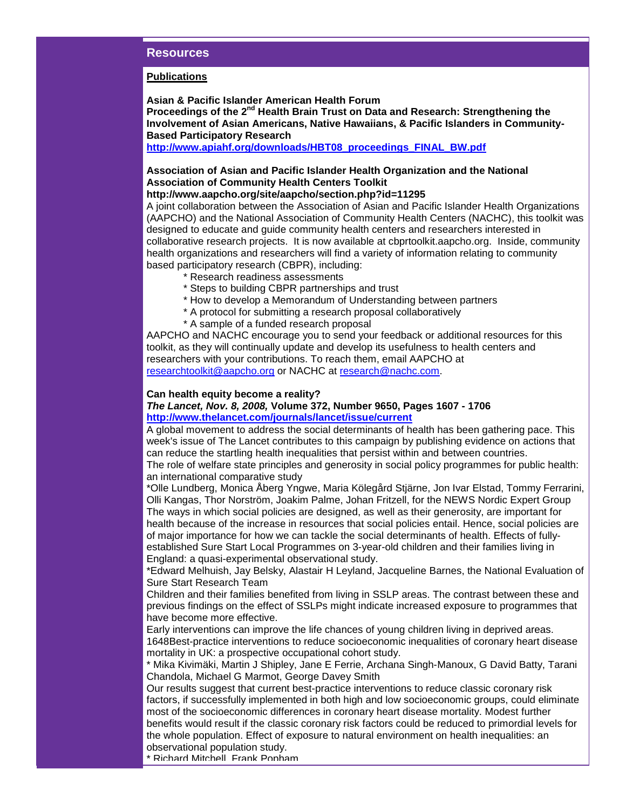# **Resources**

### **Publications**

**Asian & Pacific Islander American Health Forum** Proceedings of the 2<sup>nd</sup> Health Brain Trust on Data and Research: Strengthening the **Involvement of Asian Americans, Native Hawaiians, & Pacific Islanders in Community-Based Participatory Research** 

**[http://www.apiahf.org/downloads/HBT08\\_proceedings\\_FINAL\\_BW.pdf](http://rs6.net/tn.jsp?t=axdsdvcab.0.njlcgvcab.5gytkqcab.1&ts=S0383&p=http%3A%2F%2Fwww.apiahf.org%2Fdownloads%2FHBT08_proceedings_FINAL_BW.pdf)**

# **Association of Asian and Pacific Islander Health Organization and the National Association of Community Health Centers Toolkit**

# **http://www.aapcho.org/site/aapcho/section.php?id=11295**

A joint collaboration between the Association of Asian and Pacific Islander Health Organizations (AAPCHO) and the National Association of Community Health Centers (NACHC), this toolkit was designed to educate and guide community health centers and researchers interested in collaborative research projects. It is now available at cbprtoolkit.aapcho.org. Inside, community health organizations and researchers will find a variety of information relating to community based participatory research (CBPR), including:

- \* Research readiness assessments
- \* Steps to building CBPR partnerships and trust
- \* How to develop a Memorandum of Understanding between partners
- \* A protocol for submitting a research proposal collaboratively
- \* A sample of a funded research proposal

AAPCHO and NACHC encourage you to send your feedback or additional resources for this toolkit, as they will continually update and develop its usefulness to health centers and researchers with your contributions. To reach them, email AAPCHO at [researchtoolkit@aapcho.org](mailto:researchtoolkit@aapcho.org) or NACHC at [research@nachc.com.](mailto:research@nachc.com)

# **Can health equity become a reality?**

# *The Lancet, Nov. 8, 2008,* **Volume 372, Number 9650, Pages 1607 - 1706 [http://www.thelancet.com/journals/lancet/issue/current](http://rs6.net/tn.jsp?t=axdsdvcab.0.ojlcgvcab.5gytkqcab.1&ts=S0383&p=http%3A%2F%2Fwww.thelancet.com%2Fjournals%2Flancet%2Fissue%2Fcurrent)**

A global movement to address the social determinants of health has been gathering pace. This week's issue of The Lancet contributes to this campaign by publishing evidence on actions that can reduce the startling health inequalities that persist within and between countries. The role of welfare state principles and generosity in social policy programmes for public health:

an international comparative study \*Olle Lundberg, Monica Åberg Yngwe, Maria Kölegård Stjärne, Jon Ivar Elstad, Tommy Ferrarini, Olli Kangas, Thor Norström, Joakim Palme, Johan Fritzell, for the NEWS Nordic Expert Group The ways in which social policies are designed, as well as their generosity, are important for health because of the increase in resources that social policies entail. Hence, social policies are of major importance for how we can tackle the social determinants of health. Effects of fullyestablished Sure Start Local Programmes on 3-year-old children and their families living in

England: a quasi-experimental observational study.

\*Edward Melhuish, Jay Belsky, Alastair H Leyland, Jacqueline Barnes, the National Evaluation of Sure Start Research Team

Children and their families benefited from living in SSLP areas. The contrast between these and previous findings on the effect of SSLPs might indicate increased exposure to programmes that have become more effective.

Early interventions can improve the life chances of young children living in deprived areas. 1648Best-practice interventions to reduce socioeconomic inequalities of coronary heart disease mortality in UK: a prospective occupational cohort study.

\* Mika Kivimäki, Martin J Shipley, Jane E Ferrie, Archana Singh-Manoux, G David Batty, Tarani Chandola, Michael G Marmot, George Davey Smith

Our results suggest that current best-practice interventions to reduce classic coronary risk factors, if successfully implemented in both high and low socioeconomic groups, could eliminate most of the socioeconomic differences in coronary heart disease mortality. Modest further benefits would result if the classic coronary risk factors could be reduced to primordial levels for the whole population. Effect of exposure to natural environment on health inequalities: an observational population study.

\* Richard Mitchell, Frank Popham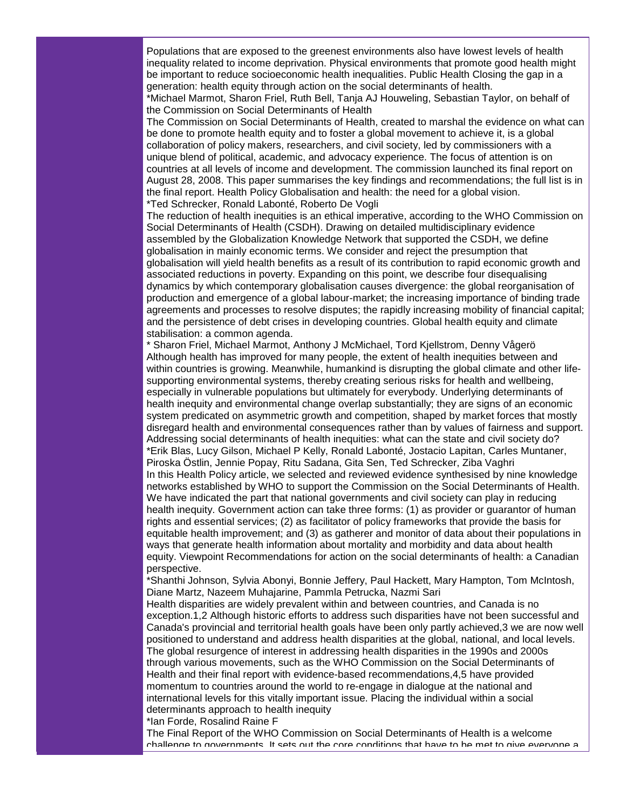Populations that are exposed to the greenest environments also have lowest levels of health inequality related to income deprivation. Physical environments that promote good health might be important to reduce socioeconomic health inequalities. Public Health Closing the gap in a generation: health equity through action on the social determinants of health.

\*Michael Marmot, Sharon Friel, Ruth Bell, Tanja AJ Houweling, Sebastian Taylor, on behalf of the Commission on Social Determinants of Health

The Commission on Social Determinants of Health, created to marshal the evidence on what can be done to promote health equity and to foster a global movement to achieve it, is a global collaboration of policy makers, researchers, and civil society, led by commissioners with a unique blend of political, academic, and advocacy experience. The focus of attention is on countries at all levels of income and development. The commission launched its final report on August 28, 2008. This paper summarises the key findings and recommendations; the full list is in the final report. Health Policy Globalisation and health: the need for a global vision. \*Ted Schrecker, Ronald Labonté, Roberto De Vogli

The reduction of health inequities is an ethical imperative, according to the WHO Commission on Social Determinants of Health (CSDH). Drawing on detailed multidisciplinary evidence assembled by the Globalization Knowledge Network that supported the CSDH, we define globalisation in mainly economic terms. We consider and reject the presumption that globalisation will yield health benefits as a result of its contribution to rapid economic growth and associated reductions in poverty. Expanding on this point, we describe four disequalising dynamics by which contemporary globalisation causes divergence: the global reorganisation of production and emergence of a global labour-market; the increasing importance of binding trade agreements and processes to resolve disputes; the rapidly increasing mobility of financial capital; and the persistence of debt crises in developing countries. Global health equity and climate stabilisation: a common agenda.

\* Sharon Friel, Michael Marmot, Anthony J McMichael, Tord Kjellstrom, Denny Vågerö Although health has improved for many people, the extent of health inequities between and within countries is growing. Meanwhile, humankind is disrupting the global climate and other lifesupporting environmental systems, thereby creating serious risks for health and wellbeing, especially in vulnerable populations but ultimately for everybody. Underlying determinants of health inequity and environmental change overlap substantially; they are signs of an economic system predicated on asymmetric growth and competition, shaped by market forces that mostly disregard health and environmental consequences rather than by values of fairness and support. Addressing social determinants of health inequities: what can the state and civil society do? \*Erik Blas, Lucy Gilson, Michael P Kelly, Ronald Labonté, Jostacio Lapitan, Carles Muntaner, Piroska Östlin, Jennie Popay, Ritu Sadana, Gita Sen, Ted Schrecker, Ziba Vaghri In this Health Policy article, we selected and reviewed evidence synthesised by nine knowledge networks established by WHO to support the Commission on the Social Determinants of Health. We have indicated the part that national governments and civil society can play in reducing health inequity. Government action can take three forms: (1) as provider or guarantor of human rights and essential services; (2) as facilitator of policy frameworks that provide the basis for equitable health improvement; and (3) as gatherer and monitor of data about their populations in ways that generate health information about mortality and morbidity and data about health equity. Viewpoint Recommendations for action on the social determinants of health: a Canadian perspective.

\*Shanthi Johnson, Sylvia Abonyi, Bonnie Jeffery, Paul Hackett, Mary Hampton, Tom McIntosh, Diane Martz, Nazeem Muhajarine, Pammla Petrucka, Nazmi Sari

Health disparities are widely prevalent within and between countries, and Canada is no exception.1,2 Although historic efforts to address such disparities have not been successful and Canada's provincial and territorial health goals have been only partly achieved,3 we are now well positioned to understand and address health disparities at the global, national, and local levels. The global resurgence of interest in addressing health disparities in the 1990s and 2000s through various movements, such as the WHO Commission on the Social Determinants of Health and their final report with evidence-based recommendations,4,5 have provided momentum to countries around the world to re-engage in dialogue at the national and international levels for this vitally important issue. Placing the individual within a social determinants approach to health inequity

\*Ian Forde, Rosalind Raine F

The Final Report of the WHO Commission on Social Determinants of Health is a welcome challenge to governments. It sets out the core conditions that have to be met to give everyone a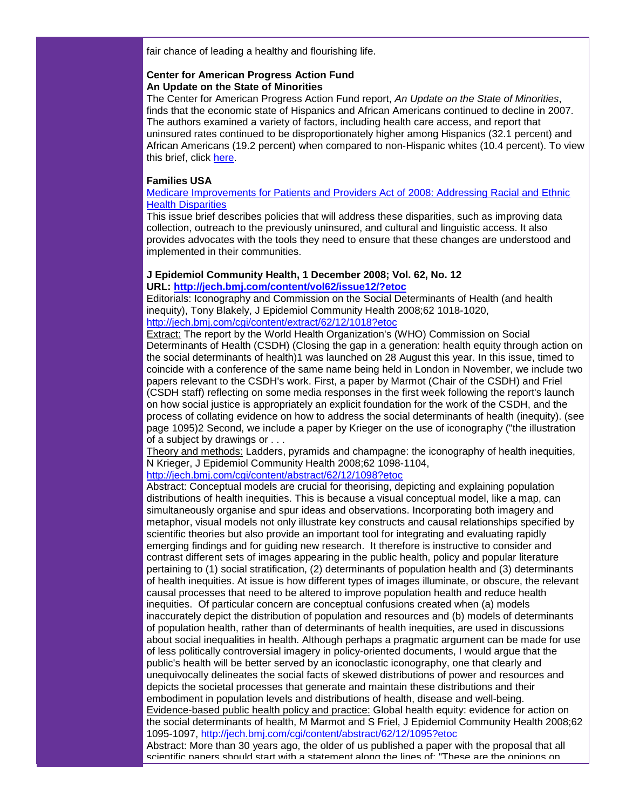fair chance of leading a healthy and flourishing life.

# **Center for American Progress Action Fund An Update on the State of Minorities**

The Center for American Progress Action Fund report, *An Update on the State of Minorities*, finds that the economic state of Hispanics and African Americans continued to decline in 2007. The authors examined a variety of factors, including health care access, and report that uninsured rates continued to be disproportionately higher among Hispanics (32.1 percent) and African Americans (19.2 percent) when compared to non-Hispanic whites (10.4 percent). To view this brief, click [here.](http://rs6.net/tn.jsp?t=axdsdvcab.0.pjlcgvcab.5gytkqcab.1&ts=S0383&p=http%3A%2F%2Fwww.americanprogress.org%2Fissues%2F2008%2F09%2Fpdf%2Fstate_of_minorities.pdf)

# **Families USA**

[Medicare Improvements for Patients and Providers Act of 2008: Addressing Racial and Ethnic](http://rs6.net/tn.jsp?t=axdsdvcab.0.qjlcgvcab.5gytkqcab.1&ts=S0383&p=http%3A%2F%2Fwww.familiesusa.org%2Fassets%2Fpdfs%2Fmippa-addressing-disparities_3.pdf)  [Health Disparities](http://rs6.net/tn.jsp?t=axdsdvcab.0.qjlcgvcab.5gytkqcab.1&ts=S0383&p=http%3A%2F%2Fwww.familiesusa.org%2Fassets%2Fpdfs%2Fmippa-addressing-disparities_3.pdf)

This issue brief describes policies that will address these disparities, such as improving data collection, outreach to the previously uninsured, and cultural and linguistic access. It also provides advocates with the tools they need to ensure that these changes are understood and implemented in their communities.

# **J Epidemiol Community Health, 1 December 2008; Vol. 62, No. 12**

**URL: [http://jech.bmj.com/content/vol62/issue12/?etoc](http://rs6.net/tn.jsp?t=axdsdvcab.0.rjlcgvcab.5gytkqcab.1&ts=S0383&p=http%3A%2F%2Fjech.bmj.com%2Fcontent%2Fvol62%2Fissue12%2F%3Fetoc)**

Editorials: Iconography and Commission on the Social Determinants of Health (and health inequity), Tony Blakely, J Epidemiol Community Health 2008;62 1018-1020, [http://jech.bmj.com/cgi/content/extract/62/12/1018?etoc](http://rs6.net/tn.jsp?t=axdsdvcab.0.sjlcgvcab.5gytkqcab.1&ts=S0383&p=http%3A%2F%2Fjech.bmj.com%2Fcgi%2Fcontent%2Fextract%2F62%2F12%2F1018%3Fetoc)

Extract: The report by the World Health Organization's (WHO) Commission on Social Determinants of Health (CSDH) (Closing the gap in a generation: health equity through action on the social determinants of health)1 was launched on 28 August this year. In this issue, timed to coincide with a conference of the same name being held in London in November, we include two papers relevant to the CSDH's work. First, a paper by Marmot (Chair of the CSDH) and Friel (CSDH staff) reflecting on some media responses in the first week following the report's launch on how social justice is appropriately an explicit foundation for the work of the CSDH, and the process of collating evidence on how to address the social determinants of health (inequity). (see page 1095)2 Second, we include a paper by Krieger on the use of iconography ("the illustration of a subject by drawings or . . .

Theory and methods: Ladders, pyramids and champagne: the iconography of health inequities, N Krieger, J Epidemiol Community Health 2008;62 1098-1104,

# [http://jech.bmj.com/cgi/content/abstract/62/12/1098?etoc](http://rs6.net/tn.jsp?t=axdsdvcab.0.tjlcgvcab.5gytkqcab.1&ts=S0383&p=http%3A%2F%2Fjech.bmj.com%2Fcgi%2Fcontent%2Fabstract%2F62%2F12%2F1098%3Fetoc)

Abstract: Conceptual models are crucial for theorising, depicting and explaining population distributions of health inequities. This is because a visual conceptual model, like a map, can simultaneously organise and spur ideas and observations. Incorporating both imagery and metaphor, visual models not only illustrate key constructs and causal relationships specified by scientific theories but also provide an important tool for integrating and evaluating rapidly emerging findings and for guiding new research. It therefore is instructive to consider and contrast different sets of images appearing in the public health, policy and popular literature pertaining to (1) social stratification, (2) determinants of population health and (3) determinants of health inequities. At issue is how different types of images illuminate, or obscure, the relevant causal processes that need to be altered to improve population health and reduce health inequities. Of particular concern are conceptual confusions created when (a) models inaccurately depict the distribution of population and resources and (b) models of determinants of population health, rather than of determinants of health inequities, are used in discussions about social inequalities in health. Although perhaps a pragmatic argument can be made for use of less politically controversial imagery in policy-oriented documents, I would argue that the public's health will be better served by an iconoclastic iconography, one that clearly and unequivocally delineates the social facts of skewed distributions of power and resources and depicts the societal processes that generate and maintain these distributions and their embodiment in population levels and distributions of health, disease and well-being. Evidence-based public health policy and practice: Global health equity: evidence for action on the social determinants of health, M Marmot and S Friel, J Epidemiol Community Health 2008;62 1095-1097, [http://jech.bmj.com/cgi/content/abstract/62/12/1095?etoc](http://rs6.net/tn.jsp?t=axdsdvcab.0.ujlcgvcab.5gytkqcab.1&ts=S0383&p=http%3A%2F%2Fjech.bmj.com%2Fcgi%2Fcontent%2Fabstract%2F62%2F12%2F1095%3Fetoc)

Abstract: More than 30 years ago, the older of us published a paper with the proposal that all scientific papers should start with a statement along the lines of: "These are the opinions on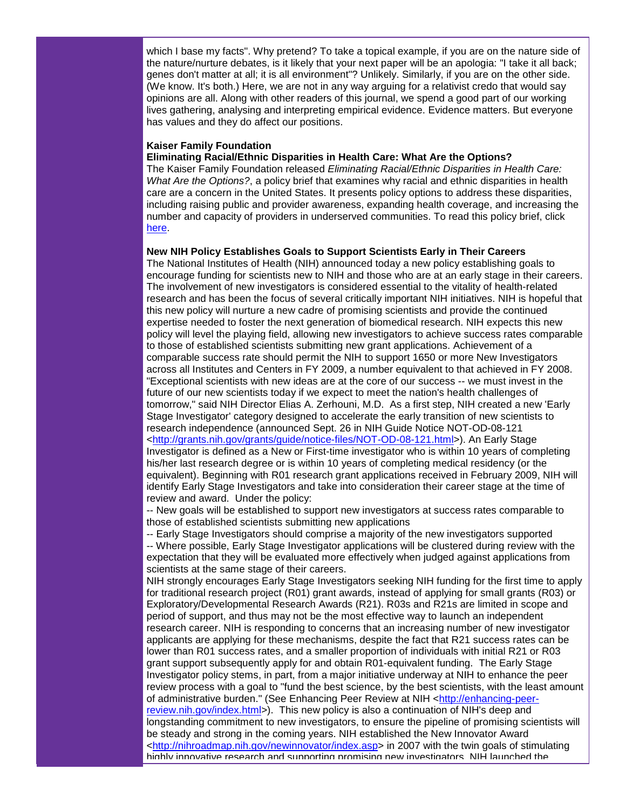which I base my facts". Why pretend? To take a topical example, if you are on the nature side of the nature/nurture debates, is it likely that your next paper will be an apologia: "I take it all back; genes don't matter at all; it is all environment"? Unlikely. Similarly, if you are on the other side. (We know. It's both.) Here, we are not in any way arguing for a relativist credo that would say opinions are all. Along with other readers of this journal, we spend a good part of our working lives gathering, analysing and interpreting empirical evidence. Evidence matters. But everyone has values and they do affect our positions.

# **Kaiser Family Foundation**

#### **Eliminating Racial/Ethnic Disparities in Health Care: What Are the Options?**

The Kaiser Family Foundation released *Eliminating Racial/Ethnic Disparities in Health Care: What Are the Options?*, a policy brief that examines why racial and ethnic disparities in health care are a concern in the United States. It presents policy options to address these disparities, including raising public and provider awareness, expanding health coverage, and increasing the number and capacity of providers in underserved communities. To read this policy brief, click [here.](http://rs6.net/tn.jsp?t=axdsdvcab.0.vjlcgvcab.5gytkqcab.1&ts=S0383&p=http%3A%2F%2Fwww.kff.org%2Fminorityhealth%2Fupload%2F7830.pdf)

#### **New NIH Policy Establishes Goals to Support Scientists Early in Their Careers**

The National Institutes of Health (NIH) announced today a new policy establishing goals to encourage funding for scientists new to NIH and those who are at an early stage in their careers. The involvement of new investigators is considered essential to the vitality of health-related research and has been the focus of several critically important NIH initiatives. NIH is hopeful that this new policy will nurture a new cadre of promising scientists and provide the continued expertise needed to foster the next generation of biomedical research. NIH expects this new policy will level the playing field, allowing new investigators to achieve success rates comparable to those of established scientists submitting new grant applications. Achievement of a comparable success rate should permit the NIH to support 1650 or more New Investigators across all Institutes and Centers in FY 2009, a number equivalent to that achieved in FY 2008. "Exceptional scientists with new ideas are at the core of our success -- we must invest in the future of our new scientists today if we expect to meet the nation's health challenges of tomorrow," said NIH Director Elias A. Zerhouni, M.D. As a first step, NIH created a new 'Early Stage Investigator' category designed to accelerate the early transition of new scientists to research independence (announced Sept. 26 in NIH Guide Notice NOT-OD-08-121 [<http://grants.nih.gov/grants/guide/notice-files/NOT-OD-08-121.html>](http://rs6.net/tn.jsp?t=axdsdvcab.0.wjlcgvcab.5gytkqcab.1&ts=S0383&p=http%3A%2F%2Fgrants.nih.gov%2Fgrants%2Fguide%2Fnotice-files%2FNOT-OD-08-121.html)). An Early Stage Investigator is defined as a New or First-time investigator who is within 10 years of completing his/her last research degree or is within 10 years of completing medical residency (or the equivalent). Beginning with R01 research grant applications received in February 2009, NIH will identify Early Stage Investigators and take into consideration their career stage at the time of review and award. Under the policy:

-- New goals will be established to support new investigators at success rates comparable to those of established scientists submitting new applications

-- Early Stage Investigators should comprise a majority of the new investigators supported -- Where possible, Early Stage Investigator applications will be clustered during review with the expectation that they will be evaluated more effectively when judged against applications from scientists at the same stage of their careers.

NIH strongly encourages Early Stage Investigators seeking NIH funding for the first time to apply for traditional research project (R01) grant awards, instead of applying for small grants (R03) or Exploratory/Developmental Research Awards (R21). R03s and R21s are limited in scope and period of support, and thus may not be the most effective way to launch an independent research career. NIH is responding to concerns that an increasing number of new investigator applicants are applying for these mechanisms, despite the fact that R21 success rates can be lower than R01 success rates, and a smaller proportion of individuals with initial R21 or R03 grant support subsequently apply for and obtain R01-equivalent funding. The Early Stage Investigator policy stems, in part, from a major initiative underway at NIH to enhance the peer review process with a goal to "fund the best science, by the best scientists, with the least amount of administrative burden." (See Enhancing Peer Review at NIH [<http://enhancing-peer](http://rs6.net/tn.jsp?t=axdsdvcab.0.xjlcgvcab.5gytkqcab.1&ts=S0383&p=http%3A%2F%2Fenhancing-peer-review.nih.gov%2Findex.html)[review.nih.gov/index.html>](http://rs6.net/tn.jsp?t=axdsdvcab.0.xjlcgvcab.5gytkqcab.1&ts=S0383&p=http%3A%2F%2Fenhancing-peer-review.nih.gov%2Findex.html)). This new policy is also a continuation of NIH's deep and longstanding commitment to new investigators, to ensure the pipeline of promising scientists will be steady and strong in the coming years. NIH established the New Innovator Award [<http://nihroadmap.nih.gov/newinnovator/index.asp>](http://rs6.net/tn.jsp?t=axdsdvcab.0.yjlcgvcab.5gytkqcab.1&ts=S0383&p=http%3A%2F%2Fnihroadmap.nih.gov%2Fnewinnovator%2Findex.asp) in 2007 with the twin goals of stimulating highly innovative research and supporting promising new investigators. NIH launched the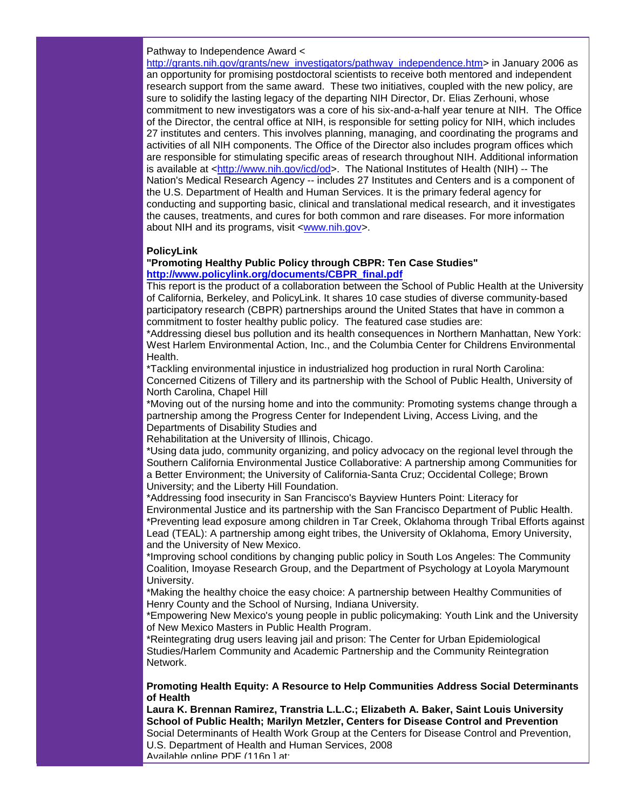# Pathway to Independence Award <

[http://grants.nih.gov/grants/new\\_investigators/pathway\\_independence.htm>](http://rs6.net/tn.jsp?t=axdsdvcab.0.zjlcgvcab.5gytkqcab.1&ts=S0383&p=http%3A%2F%2Fgrants.nih.gov%2Fgrants%2Fnew_investigators%2Fpathway_independence.htm) in January 2006 as an opportunity for promising postdoctoral scientists to receive both mentored and independent research support from the same award. These two initiatives, coupled with the new policy, are sure to solidify the lasting legacy of the departing NIH Director, Dr. Elias Zerhouni, whose commitment to new investigators was a core of his six-and-a-half year tenure at NIH. The Office of the Director, the central office at NIH, is responsible for setting policy for NIH, which includes 27 institutes and centers. This involves planning, managing, and coordinating the programs and activities of all NIH components. The Office of the Director also includes program offices which are responsible for stimulating specific areas of research throughout NIH. Additional information is available at [<http://www.nih.gov/icd/od>](http://rs6.net/tn.jsp?t=axdsdvcab.0.9jlcgvcab.5gytkqcab.1&ts=S0383&p=http%3A%2F%2Fwww.nih.gov%2Ficd%2Fod). The National Institutes of Health (NIH) -- The Nation's Medical Research Agency -- includes 27 Institutes and Centers and is a component of the U.S. Department of Health and Human Services. It is the primary federal agency for conducting and supporting basic, clinical and translational medical research, and it investigates the causes, treatments, and cures for both common and rare diseases. For more information about NIH and its programs, visit [<www.nih.gov>](http://ui.constantcontact.com/visualeditor/www.nih.gov).

#### **PolicyLink**

### **"Promoting Healthy Public Policy through CBPR: Ten Case Studies" [http://www.policylink.org/documents/CBPR\\_final.pdf](http://rs6.net/tn.jsp?t=axdsdvcab.0.8jlcgvcab.5gytkqcab.1&ts=S0383&p=http%3A%2F%2Fwww.policylink.org%2Fdocuments%2FCBPR_final.pdf)**

This report is the product of a collaboration between the School of Public Health at the University of California, Berkeley, and PolicyLink. It shares 10 case studies of diverse community-based participatory research (CBPR) partnerships around the United States that have in common a commitment to foster healthy public policy. The featured case studies are:

\*Addressing diesel bus pollution and its health consequences in Northern Manhattan, New York: West Harlem Environmental Action, Inc., and the Columbia Center for Childrens Environmental Health.

\*Tackling environmental injustice in industrialized hog production in rural North Carolina: Concerned Citizens of Tillery and its partnership with the School of Public Health, University of North Carolina, Chapel Hill

\*Moving out of the nursing home and into the community: Promoting systems change through a partnership among the Progress Center for Independent Living, Access Living, and the Departments of Disability Studies and

Rehabilitation at the University of Illinois, Chicago.

\*Using data judo, community organizing, and policy advocacy on the regional level through the Southern California Environmental Justice Collaborative: A partnership among Communities for a Better Environment; the University of California-Santa Cruz; Occidental College; Brown University; and the Liberty Hill Foundation.

\*Addressing food insecurity in San Francisco's Bayview Hunters Point: Literacy for Environmental Justice and its partnership with the San Francisco Department of Public Health. \*Preventing lead exposure among children in Tar Creek, Oklahoma through Tribal Efforts against Lead (TEAL): A partnership among eight tribes, the University of Oklahoma, Emory University, and the University of New Mexico.

\*Improving school conditions by changing public policy in South Los Angeles: The Community Coalition, Imoyase Research Group, and the Department of Psychology at Loyola Marymount University.

\*Making the healthy choice the easy choice: A partnership between Healthy Communities of Henry County and the School of Nursing, Indiana University.

\*Empowering New Mexico's young people in public policymaking: Youth Link and the University of New Mexico Masters in Public Health Program.

\*Reintegrating drug users leaving jail and prison: The Center for Urban Epidemiological Studies/Harlem Community and Academic Partnership and the Community Reintegration Network.

# **Promoting Health Equity: A Resource to Help Communities Address Social Determinants of Health**

**Laura K. Brennan Ramirez, Transtria L.L.C.; Elizabeth A. Baker, Saint Louis University School of Public Health; Marilyn Metzler, Centers for Disease Control and Prevention** Social Determinants of Health Work Group at the Centers for Disease Control and Prevention, U.S. Department of Health and Human Services, 2008 Available online PDF (116p.1 at: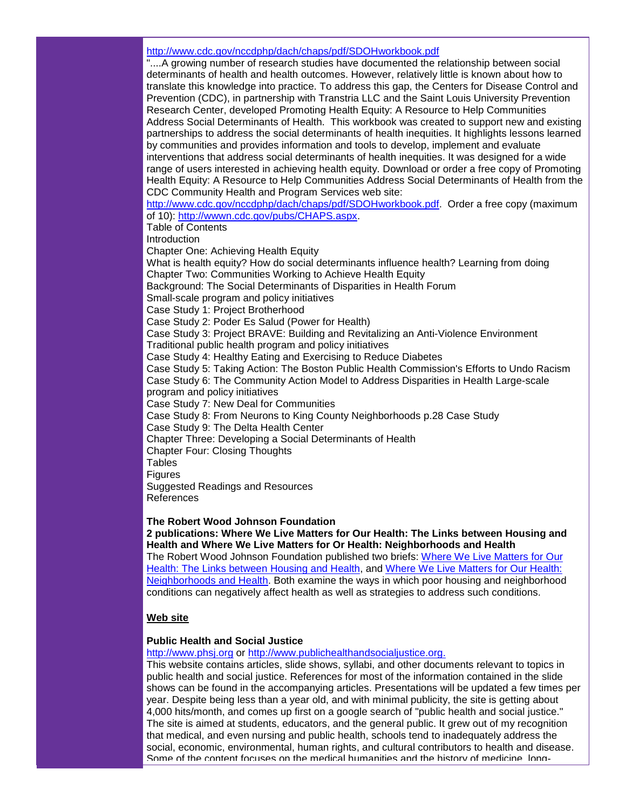# [http://www.cdc.gov/nccdphp/dach/chaps/pdf/SDOHworkbook.pdf](http://rs6.net/tn.jsp?t=axdsdvcab.0.7jlcgvcab.5gytkqcab.1&ts=S0383&p=http%3A%2F%2Fwww.cdc.gov%2Fnccdphp%2Fdach%2Fchaps%2Fpdf%2FSDOHworkbook.pdf)

"....A growing number of research studies have documented the relationship between social determinants of health and health outcomes. However, relatively little is known about how to translate this knowledge into practice. To address this gap, the Centers for Disease Control and Prevention (CDC), in partnership with Transtria LLC and the Saint Louis University Prevention Research Center, developed Promoting Health Equity: A Resource to Help Communities Address Social Determinants of Health. This workbook was created to support new and existing partnerships to address the social determinants of health inequities. It highlights lessons learned by communities and provides information and tools to develop, implement and evaluate interventions that address social determinants of health inequities. It was designed for a wide range of users interested in achieving health equity. Download or order a free copy of Promoting Health Equity: A Resource to Help Communities Address Social Determinants of Health from the CDC Community Health and Program Services web site:

[http://www.cdc.gov/nccdphp/dach/chaps/pdf/SDOHworkbook.pdf.](http://rs6.net/tn.jsp?t=axdsdvcab.0.7jlcgvcab.5gytkqcab.1&ts=S0383&p=http%3A%2F%2Fwww.cdc.gov%2Fnccdphp%2Fdach%2Fchaps%2Fpdf%2FSDOHworkbook.pdf) Order a free copy (maximum of 10): [http://wwwn.cdc.gov/pubs/CHAPS.aspx.](http://rs6.net/tn.jsp?t=axdsdvcab.0.fmuzrtcab.5gytkqcab.1&ts=S0383&p=http%3A%2F%2Fwwwn.cdc.gov%2Fpubs%2FCHAPS.aspx)

Table of Contents

**Introduction** 

Chapter One: Achieving Health Equity

What is health equity? How do social determinants influence health? Learning from doing Chapter Two: Communities Working to Achieve Health Equity

Background: The Social Determinants of Disparities in Health Forum

Small-scale program and policy initiatives

Case Study 1: Project Brotherhood

Case Study 2: Poder Es Salud (Power for Health)

Case Study 3: Project BRAVE: Building and Revitalizing an Anti-Violence Environment

Traditional public health program and policy initiatives

Case Study 4: Healthy Eating and Exercising to Reduce Diabetes

Case Study 5: Taking Action: The Boston Public Health Commission's Efforts to Undo Racism Case Study 6: The Community Action Model to Address Disparities in Health Large-scale

program and policy initiatives

Case Study 7: New Deal for Communities

Case Study 8: From Neurons to King County Neighborhoods p.28 Case Study

Case Study 9: The Delta Health Center

Chapter Three: Developing a Social Determinants of Health

Chapter Four: Closing Thoughts

**Tables** 

**Figures** 

Suggested Readings and Resources References

**The Robert Wood Johnson Foundation**

**2 publications: Where We Live Matters for Our Health: The Links between Housing and Health and Where We Live Matters for Or Health: Neighborhoods and Health**

The Robert Wood Johnson Foundation published two briefs: [Where We Live Matters for Our](http://rs6.net/tn.jsp?t=axdsdvcab.0.6jlcgvcab.5gytkqcab.1&ts=S0383&p=http%3A%2F%2Fwww.commissiononhealth.org%2FPDF%2F033756c1-3ee3-4e36-bb0e-557a0c5986c3%2FIssue%2520Brief%25202%2520Sept%252008%2520-%2520Housing%2520and%2520Health.pdf)  [Health: The Links between Housing and Health,](http://rs6.net/tn.jsp?t=axdsdvcab.0.6jlcgvcab.5gytkqcab.1&ts=S0383&p=http%3A%2F%2Fwww.commissiononhealth.org%2FPDF%2F033756c1-3ee3-4e36-bb0e-557a0c5986c3%2FIssue%2520Brief%25202%2520Sept%252008%2520-%2520Housing%2520and%2520Health.pdf) and Where We Live Matters for Our Health: [Neighborhoods and Health.](http://rs6.net/tn.jsp?t=axdsdvcab.0.5jlcgvcab.5gytkqcab.1&ts=S0383&p=http%3A%2F%2Fwww.commissiononhealth.org%2FPDF%2Ffff21abf-e208-46dd-a110-e757c3c6cdd7%2FIssue%2520Brief%25203%2520Sept%252008%2520-%2520Neighborhoods%2520and%2520Health.pdf) Both examine the ways in which poor housing and neighborhood conditions can negatively affect health as well as strategies to address such conditions.

# **Web site**

# **Public Health and Social Justice**

[http://www.phsj.org](http://rs6.net/tn.jsp?t=axdsdvcab.0.4jlcgvcab.5gytkqcab.1&ts=S0383&p=http%3A%2F%2Fwww.phsj.org%2F) or [http://www.publichealthandsocialjustice.org.](http://rs6.net/tn.jsp?t=axdsdvcab.0.aklcgvcab.5gytkqcab.1&ts=S0383&p=http%3A%2F%2Fwww.publichealthandsocialjustice.org.%2F)

This website contains articles, slide shows, syllabi, and other documents relevant to topics in public health and social justice. References for most of the information contained in the slide shows can be found in the accompanying articles. Presentations will be updated a few times per year. Despite being less than a year old, and with minimal publicity, the site is getting about 4,000 hits/month, and comes up first on a google search of "public health and social justice." The site is aimed at students, educators, and the general public. It grew out of my recognition that medical, and even nursing and public health, schools tend to inadequately address the social, economic, environmental, human rights, and cultural contributors to health and disease. Some of the content focuses on the medical humanities and the history of medicine, long